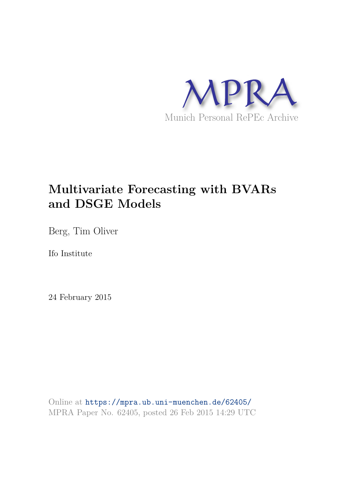

# **Multivariate Forecasting with BVARs and DSGE Models**

Berg, Tim Oliver

Ifo Institute

24 February 2015

Online at https://mpra.ub.uni-muenchen.de/62405/ MPRA Paper No. 62405, posted 26 Feb 2015 14:29 UTC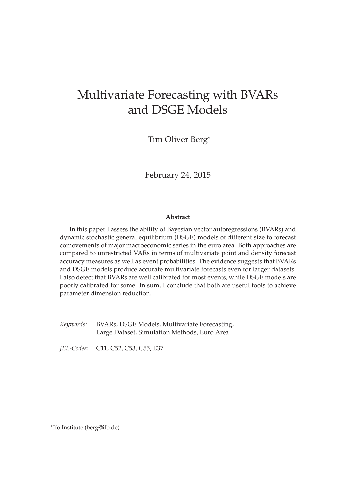# Multivariate Forecasting with BVARs and DSGE Models

Tim Oliver Berg<sup>∗</sup>

February 24, 2015

#### **Abstract**

In this paper I assess the ability of Bayesian vector autoregressions (BVARs) and dynamic stochastic general equilibrium (DSGE) models of different size to forecast comovements of major macroeconomic series in the euro area. Both approaches are compared to unrestricted VARs in terms of multivariate point and density forecast accuracy measures as well as event probabilities. The evidence suggests that BVARs and DSGE models produce accurate multivariate forecasts even for larger datasets. I also detect that BVARs are well calibrated for most events, while DSGE models are poorly calibrated for some. In sum, I conclude that both are useful tools to achieve parameter dimension reduction.

*Keywords:* BVARs, DSGE Models, Multivariate Forecasting, Large Dataset, Simulation Methods, Euro Area

*JEL-Codes:* C11, C52, C53, C55, E37

∗ Ifo Institute (berg@ifo.de).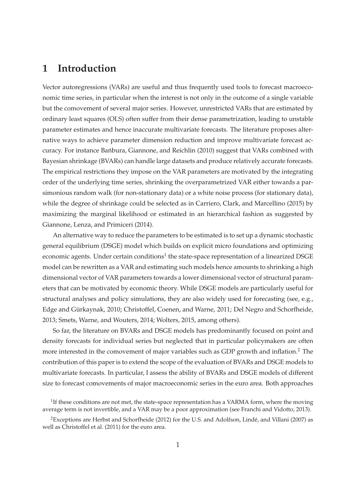### **1 Introduction**

Vector autoregressions (VARs) are useful and thus frequently used tools to forecast macroeconomic time series, in particular when the interest is not only in the outcome of a single variable but the comovement of several major series. However, unrestricted VARs that are estimated by ordinary least squares (OLS) often suffer from their dense parametrization, leading to unstable parameter estimates and hence inaccurate multivariate forecasts. The literature proposes alternative ways to achieve parameter dimension reduction and improve multivariate forecast accuracy. For instance Bańbura, Giannone, and Reichlin (2010) suggest that VARs combined with Bayesian shrinkage (BVARs) can handle large datasets and produce relatively accurate forecasts. The empirical restrictions they impose on the VAR parameters are motivated by the integrating order of the underlying time series, shrinking the overparametrized VAR either towards a parsimonious random walk (for non-stationary data) or a white noise process (for stationary data), while the degree of shrinkage could be selected as in Carriero, Clark, and Marcellino (2015) by maximizing the marginal likelihood or estimated in an hierarchical fashion as suggested by Giannone, Lenza, and Primiceri (2014).

An alternative way to reduce the parameters to be estimated is to set up a dynamic stochastic general equilibrium (DSGE) model which builds on explicit micro foundations and optimizing economic agents. Under certain conditions<sup>1</sup> the state-space representation of a linearized DSGE model can be rewritten as a VAR and estimating such models hence amounts to shrinking a high dimensional vector of VAR parameters towards a lower dimensional vector of structural parameters that can be motivated by economic theory. While DSGE models are particularly useful for structural analyses and policy simulations, they are also widely used for forecasting (see, e.g., Edge and Gürkaynak, 2010; Christoffel, Coenen, and Warne, 2011; Del Negro and Schorfheide, 2013; Smets, Warne, and Wouters, 2014; Wolters, 2015, among others).

So far, the literature on BVARs and DSGE models has predominantly focused on point and density forecasts for individual series but neglected that in particular policymakers are often more interested in the comovement of major variables such as GDP growth and inflation.<sup>2</sup> The contribution of this paper is to extend the scope of the evaluation of BVARs and DSGE models to multivariate forecasts. In particular, I assess the ability of BVARs and DSGE models of different size to forecast comovements of major macroeconomic series in the euro area. Both approaches

 $1$ If these conditions are not met, the state-space representation has a VARMA form, where the moving average term is not invertible, and a VAR may be a poor approximation (see Franchi and Vidotto, 2013).

 ${}^{2}$ Exceptions are Herbst and Schorfheide (2012) for the U.S. and Adolfson, Lindé, and Villani (2007) as well as Christoffel et al. (2011) for the euro area.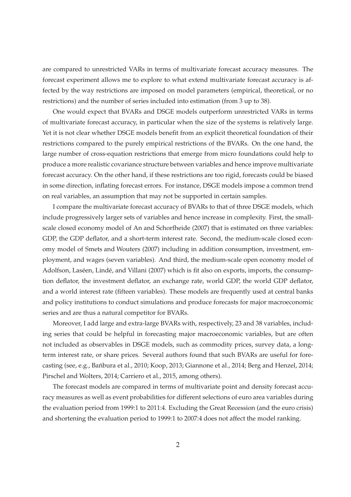are compared to unrestricted VARs in terms of multivariate forecast accuracy measures. The forecast experiment allows me to explore to what extend multivariate forecast accuracy is affected by the way restrictions are imposed on model parameters (empirical, theoretical, or no restrictions) and the number of series included into estimation (from 3 up to 38).

One would expect that BVARs and DSGE models outperform unrestricted VARs in terms of multivariate forecast accuracy, in particular when the size of the systems is relatively large. Yet it is not clear whether DSGE models benefit from an explicit theoretical foundation of their restrictions compared to the purely empirical restrictions of the BVARs. On the one hand, the large number of cross-equation restrictions that emerge from micro foundations could help to produce a more realistic covariance structure between variables and hence improve multivariate forecast accuracy. On the other hand, if these restrictions are too rigid, forecasts could be biased in some direction, inflating forecast errors. For instance, DSGE models impose a common trend on real variables, an assumption that may not be supported in certain samples.

I compare the multivariate forecast accuracy of BVARs to that of three DSGE models, which include progressively larger sets of variables and hence increase in complexity. First, the smallscale closed economy model of An and Schorfheide (2007) that is estimated on three variables: GDP, the GDP deflator, and a short-term interest rate. Second, the medium-scale closed economy model of Smets and Wouters (2007) including in addition consumption, investment, employment, and wages (seven variables). And third, the medium-scale open economy model of Adolfson, Laséen, Lindé, and Villani (2007) which is fit also on exports, imports, the consumption deflator, the investment deflator, an exchange rate, world GDP, the world GDP deflator, and a world interest rate (fifteen variables). These models are frequently used at central banks and policy institutions to conduct simulations and produce forecasts for major macroeconomic series and are thus a natural competitor for BVARs.

Moreover, I add large and extra-large BVARs with, respectively, 23 and 38 variables, including series that could be helpful in forecasting major macroeconomic variables, but are often not included as observables in DSGE models, such as commodity prices, survey data, a longterm interest rate, or share prices. Several authors found that such BVARs are useful for forecasting (see, e.g., Banbura et al., 2010; Koop, 2013; Giannone et al., 2014; Berg and Henzel, 2014; Pirschel and Wolters, 2014; Carriero et al., 2015, among others).

The forecast models are compared in terms of multivariate point and density forecast accuracy measures as well as event probabilities for different selections of euro area variables during the evaluation period from 1999:1 to 2011:4. Excluding the Great Recession (and the euro crisis) and shortening the evaluation period to 1999:1 to 2007:4 does not affect the model ranking.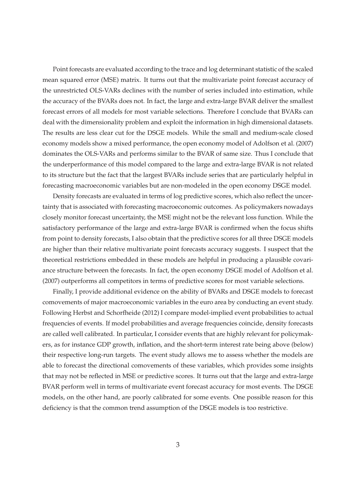Point forecasts are evaluated according to the trace and log determinant statistic of the scaled mean squared error (MSE) matrix. It turns out that the multivariate point forecast accuracy of the unrestricted OLS-VARs declines with the number of series included into estimation, while the accuracy of the BVARs does not. In fact, the large and extra-large BVAR deliver the smallest forecast errors of all models for most variable selections. Therefore I conclude that BVARs can deal with the dimensionality problem and exploit the information in high dimensional datasets. The results are less clear cut for the DSGE models. While the small and medium-scale closed economy models show a mixed performance, the open economy model of Adolfson et al. (2007) dominates the OLS-VARs and performs similar to the BVAR of same size. Thus I conclude that the underperformance of this model compared to the large and extra-large BVAR is not related to its structure but the fact that the largest BVARs include series that are particularly helpful in forecasting macroeconomic variables but are non-modeled in the open economy DSGE model.

Density forecasts are evaluated in terms of log predictive scores, which also reflect the uncertainty that is associated with forecasting macroeconomic outcomes. As policymakers nowadays closely monitor forecast uncertainty, the MSE might not be the relevant loss function. While the satisfactory performance of the large and extra-large BVAR is confirmed when the focus shifts from point to density forecasts, I also obtain that the predictive scores for all three DSGE models are higher than their relative multivariate point forecasts accuracy suggests. I suspect that the theoretical restrictions embedded in these models are helpful in producing a plausible covariance structure between the forecasts. In fact, the open economy DSGE model of Adolfson et al. (2007) outperforms all competitors in terms of predictive scores for most variable selections.

Finally, I provide additional evidence on the ability of BVARs and DSGE models to forecast comovements of major macroeconomic variables in the euro area by conducting an event study. Following Herbst and Schorfheide (2012) I compare model-implied event probabilities to actual frequencies of events. If model probabilities and average frequencies coincide, density forecasts are called well calibrated. In particular, I consider events that are highly relevant for policymakers, as for instance GDP growth, inflation, and the short-term interest rate being above (below) their respective long-run targets. The event study allows me to assess whether the models are able to forecast the directional comovements of these variables, which provides some insights that may not be reflected in MSE or predictive scores. It turns out that the large and extra-large BVAR perform well in terms of multivariate event forecast accuracy for most events. The DSGE models, on the other hand, are poorly calibrated for some events. One possible reason for this deficiency is that the common trend assumption of the DSGE models is too restrictive.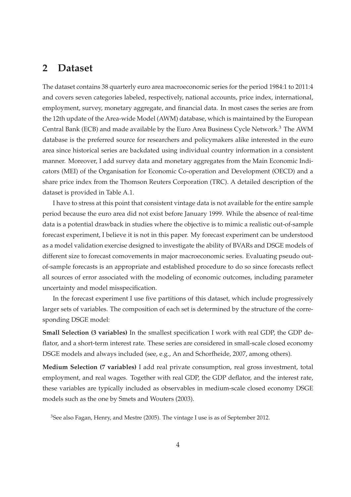### **2 Dataset**

The dataset contains 38 quarterly euro area macroeconomic series for the period 1984:1 to 2011:4 and covers seven categories labeled, respectively, national accounts, price index, international, employment, survey, monetary aggregate, and financial data. In most cases the series are from the 12th update of the Area-wide Model (AWM) database, which is maintained by the European Central Bank (ECB) and made available by the Euro Area Business Cycle Network.<sup>3</sup> The AWM database is the preferred source for researchers and policymakers alike interested in the euro area since historical series are backdated using individual country information in a consistent manner. Moreover, I add survey data and monetary aggregates from the Main Economic Indicators (MEI) of the Organisation for Economic Co-operation and Development (OECD) and a share price index from the Thomson Reuters Corporation (TRC). A detailed description of the dataset is provided in Table A.1.

I have to stress at this point that consistent vintage data is not available for the entire sample period because the euro area did not exist before January 1999. While the absence of real-time data is a potential drawback in studies where the objective is to mimic a realistic out-of-sample forecast experiment, I believe it is not in this paper. My forecast experiment can be understood as a model validation exercise designed to investigate the ability of BVARs and DSGE models of different size to forecast comovements in major macroeconomic series. Evaluating pseudo outof-sample forecasts is an appropriate and established procedure to do so since forecasts reflect all sources of error associated with the modeling of economic outcomes, including parameter uncertainty and model misspecification.

In the forecast experiment I use five partitions of this dataset, which include progressively larger sets of variables. The composition of each set is determined by the structure of the corresponding DSGE model:

**Small Selection (3 variables)** In the smallest specification I work with real GDP, the GDP deflator, and a short-term interest rate. These series are considered in small-scale closed economy DSGE models and always included (see, e.g., An and Schorfheide, 2007, among others).

**Medium Selection (7 variables)** I add real private consumption, real gross investment, total employment, and real wages. Together with real GDP, the GDP deflator, and the interest rate, these variables are typically included as observables in medium-scale closed economy DSGE models such as the one by Smets and Wouters (2003).

<sup>3</sup>See also Fagan, Henry, and Mestre (2005). The vintage I use is as of September 2012.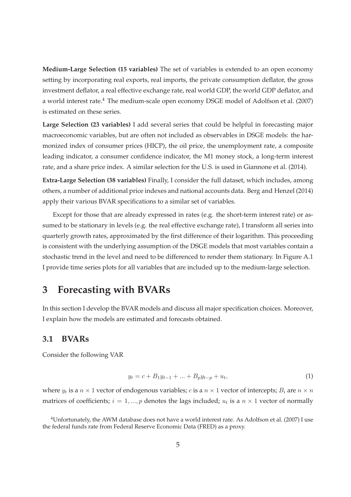**Medium-Large Selection (15 variables)** The set of variables is extended to an open economy setting by incorporating real exports, real imports, the private consumption deflator, the gross investment deflator, a real effective exchange rate, real world GDP, the world GDP deflator, and a world interest rate.<sup>4</sup> The medium-scale open economy DSGE model of Adolfson et al. (2007) is estimated on these series.

**Large Selection (23 variables)** I add several series that could be helpful in forecasting major macroeconomic variables, but are often not included as observables in DSGE models: the harmonized index of consumer prices (HICP), the oil price, the unemployment rate, a composite leading indicator, a consumer confidence indicator, the M1 money stock, a long-term interest rate, and a share price index. A similar selection for the U.S. is used in Giannone et al. (2014).

**Extra-Large Selection (38 variables)** Finally, I consider the full dataset, which includes, among others, a number of additional price indexes and national accounts data. Berg and Henzel (2014) apply their various BVAR specifications to a similar set of variables.

Except for those that are already expressed in rates (e.g. the short-term interest rate) or assumed to be stationary in levels (e.g. the real effective exchange rate), I transform all series into quarterly growth rates, approximated by the first difference of their logarithm. This proceeding is consistent with the underlying assumption of the DSGE models that most variables contain a stochastic trend in the level and need to be differenced to render them stationary. In Figure A.1 I provide time series plots for all variables that are included up to the medium-large selection.

### **3 Forecasting with BVARs**

In this section I develop the BVAR models and discuss all major specification choices. Moreover, I explain how the models are estimated and forecasts obtained.

#### **3.1 BVARs**

Consider the following VAR

$$
y_t = c + B_1 y_{t-1} + \dots + B_p y_{t-p} + u_t, \tag{1}
$$

where  $y_t$  is a  $n \times 1$  vector of endogenous variables;  $c$  is a  $n \times 1$  vector of intercepts;  $B_i$  are  $n \times n$ matrices of coefficients;  $i = 1, ..., p$  denotes the lags included;  $u_t$  is a  $n \times 1$  vector of normally

<sup>&</sup>lt;sup>4</sup>Unfortunately, the AWM database does not have a world interest rate. As Adolfson et al. (2007) I use the federal funds rate from Federal Reserve Economic Data (FRED) as a proxy.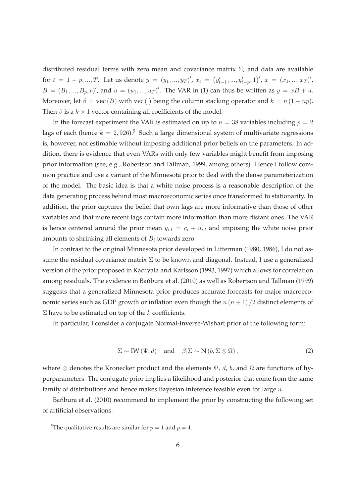distributed residual terms with zero mean and covariance matrix  $\Sigma$ ; and data are available for  $t = 1 - p, ..., T$ . Let us denote  $y = (y_1, ..., y_T)'$ ,  $x_t = (y'_{t-1}, ..., y'_{t-p}, 1)'$ ,  $x = (x_1, ..., x_T)'$ ,  $B = (B_1, ..., B_p, c)'$ , and  $u = (u_1, ..., u_T)'$ . The VAR in (1) can thus be written as  $y = xB + u$ . Moreover, let  $\beta = \text{vec}(B)$  with vec (·) being the column stacking operator and  $k = n(1 + np)$ . Then  $\beta$  is a  $k \times 1$  vector containing all coefficients of the model.

In the forecast experiment the VAR is estimated on up to  $n = 38$  variables including  $p = 2$ lags of each (hence  $k = 2,926$ ).<sup>5</sup> Such a large dimensional system of multivariate regressions is, however, not estimable without imposing additional prior beliefs on the parameters. In addition, there is evidence that even VARs with only few variables might benefit from imposing prior information (see, e.g., Robertson and Tallman, 1999, among others). Hence I follow common practice and use a variant of the Minnesota prior to deal with the dense parameterization of the model. The basic idea is that a white noise process is a reasonable description of the data generating process behind most macroeconomic series once transformed to stationarity. In addition, the prior captures the belief that own lags are more informative than those of other variables and that more recent lags contain more information than more distant ones. The VAR is hence centered around the prior mean  $y_{i,t} = c_i + u_{i,t}$  and imposing the white noise prior amounts to shrinking all elements of  $B_i$  towards zero.

In contrast to the original Minnesota prior developed in Litterman (1980, 1986), I do not assume the residual covariance matrix  $\Sigma$  to be known and diagonal. Instead, I use a generalized version of the prior proposed in Kadiyala and Karlsson (1993, 1997) which allows for correlation among residuals. The evidence in Bańbura et al. (2010) as well as Robertson and Tallman (1999) suggests that a generalized Minnesota prior produces accurate forecasts for major macroeconomic series such as GDP growth or inflation even though the  $n (n + 1) / 2$  distinct elements of  $\Sigma$  have to be estimated on top of the k coefficients.

In particular, I consider a conjugate Normal-Inverse-Wishart prior of the following form:

$$
\Sigma \sim \text{IW}(\Psi, d) \quad \text{and} \quad \beta | \Sigma \sim \text{N}(b, \Sigma \otimes \Omega) , \tag{2}
$$

where  $\otimes$  denotes the Kronecker product and the elements  $\Psi$ , d, b, and  $\Omega$  are functions of hyperparameters. The conjugate prior implies a likelihood and posterior that come from the same family of distributions and hence makes Bayesian inference feasible even for large n.

Bańbura et al. (2010) recommend to implement the prior by constructing the following set of artificial observations:

<sup>5</sup>The qualitative results are similar for  $p = 1$  and  $p = 4$ .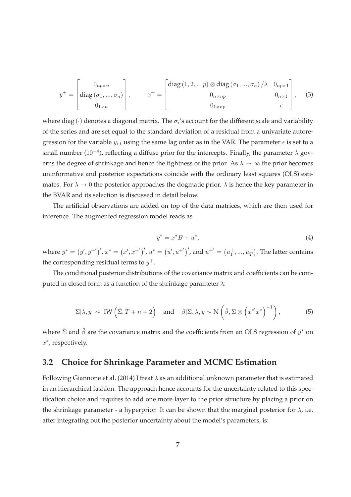$$
y^{+} = \begin{bmatrix} 0_{np \times n} \\ \text{diag}(\sigma_1, ..., \sigma_n) \\ 0_{1 \times n} \end{bmatrix}, \qquad x^{+} = \begin{bmatrix} \text{diag}(1, 2, ..., p) \otimes \text{diag}(\sigma_1, ..., \sigma_n) / \lambda & 0_{np \times 1} \\ 0_{n \times np} & 0_{n \times 1} \\ 0_{1 \times np} & \epsilon \end{bmatrix}, \qquad (3)
$$

where diag  $(\cdot)$  denotes a diagonal matrix. The  $\sigma_i$ 's account for the different scale and variability of the series and are set equal to the standard deviation of a residual from a univariate autoregression for the variable  $y_{i,t}$  using the same lag order as in the VAR. The parameter  $\epsilon$  is set to a small number (10<sup>-4</sup>), reflecting a diffuse prior for the intercepts. Finally, the parameter  $\lambda$  governs the degree of shrinkage and hence the tightness of the prior. As  $\lambda \to \infty$  the prior becomes uninformative and posterior expectations coincide with the ordinary least squares (OLS) estimates. For  $\lambda \to 0$  the posterior approaches the dogmatic prior.  $\lambda$  is hence the key parameter in the BVAR and its selection is discussed in detail below.

The artificial observations are added on top of the data matrices, which are then used for inference. The augmented regression model reads as

$$
y^* = x^*B + u^*,
$$
 (4)

where  $y^* = \left(y', y^{+'}\right)', x^* = \left(x', x^{+'}\right)', u^* = \left(u', u^{+'}\right)',$  and  $u^{+'} = \left(u_1^+, ..., u_T^+\right).$  The latter contains the corresponding residual terms to  $y^+$ .

The conditional posterior distributions of the covariance matrix and coefficients can be computed in closed form as a function of the shrinkage parameter  $\lambda$ :

$$
\Sigma|\lambda, y \sim \text{IW}\left(\hat{\Sigma}, T + n + 2\right)
$$
 and  $\beta|\Sigma, \lambda, y \sim \text{N}\left(\hat{\beta}, \Sigma \otimes \left(x^{*'}x^{*}\right)^{-1}\right)$ , (5)

where  $\hat{\Sigma}$  and  $\hat{\beta}$  are the covariance matrix and the coefficients from an OLS regression of  $y^*$  on x ∗ , respectively.

### **3.2 Choice for Shrinkage Parameter and MCMC Estimation**

Following Giannone et al. (2014) I treat  $\lambda$  as an additional unknown parameter that is estimated in an hierarchical fashion. The approach hence accounts for the uncertainty related to this specification choice and requires to add one more layer to the prior structure by placing a prior on the shrinkage parameter - a hyperprior. It can be shown that the marginal posterior for  $\lambda$ , i.e. after integrating out the posterior uncertainty about the model's parameters, is: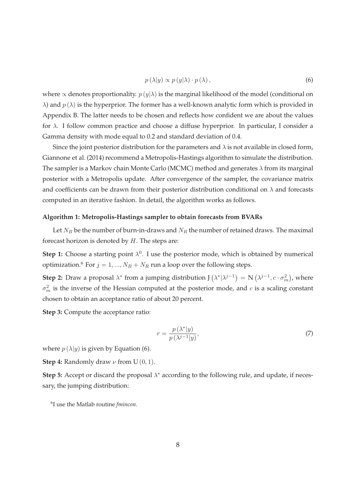$$
p(\lambda|y) \propto p(y|\lambda) \cdot p(\lambda), \qquad (6)
$$

where  $\propto$  denotes proportionality.  $p(y|\lambda)$  is the marginal likelihood of the model (conditional on  $\lambda$ ) and  $p(\lambda)$  is the hyperprior. The former has a well-known analytic form which is provided in Appendix B. The latter needs to be chosen and reflects how confident we are about the values for  $\lambda$ . I follow common practice and choose a diffuse hyperprior. In particular, I consider a Gamma density with mode equal to 0.2 and standard deviation of 0.4.

Since the joint posterior distribution for the parameters and  $\lambda$  is not available in closed form, Giannone et al. (2014) recommend a Metropolis-Hastings algorithm to simulate the distribution. The sampler is a Markov chain Monte Carlo (MCMC) method and generates  $\lambda$  from its marginal posterior with a Metropolis update. After convergence of the sampler, the covariance matrix and coefficients can be drawn from their posterior distribution conditional on  $\lambda$  and forecasts computed in an iterative fashion. In detail, the algorithm works as follows.

#### **Algorithm 1: Metropolis-Hastings sampler to obtain forecasts from BVARs**

Let  $N_B$  be the number of burn-in-draws and  $N_R$  the number of retained draws. The maximal forecast horizon is denoted by  $H$ . The steps are:

**Step 1:** Choose a starting point  $\lambda^0$ . I use the posterior mode, which is obtained by numerical optimization.<sup>6</sup> For  $j = 1, ..., N_B + N_R$  run a loop over the following steps.

**Step 2:** Draw a proposal  $\lambda^*$  from a jumping distribution J  $(\lambda^*|\lambda^{j-1}) = N(\lambda^{j-1}, c \cdot \sigma_m^2)$ , where  $\sigma_m^2$  is the inverse of the Hessian computed at the posterior mode, and  $c$  is a scaling constant chosen to obtain an acceptance ratio of about 20 percent.

**Step 3:** Compute the acceptance ratio:

$$
r = \frac{p\left(\lambda^*|y\right)}{p\left(\lambda^{j-1}|y\right)},\tag{7}
$$

where  $p(\lambda|y)$  is given by Equation (6).

**Step 4:** Randomly draw  $\nu$  from U  $(0, 1)$ .

**Step 5:** Accept or discard the proposal  $\lambda^*$  according to the following rule, and update, if necessary, the jumping distribution:

6 I use the Matlab routine *fmincon*.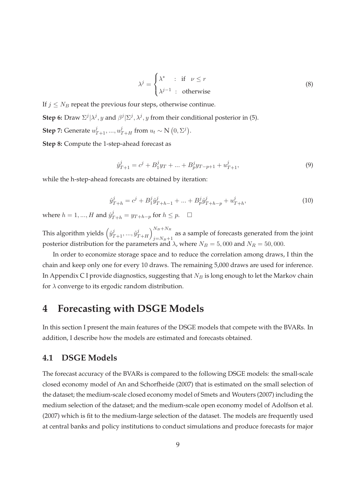$$
\lambda^{j} = \begin{cases} \lambda^{*} & : \text{ if } \nu \leq r \\ \lambda^{j-1} & : \text{ otherwise} \end{cases}
$$
 (8)

If  $j \leq N_B$  repeat the previous four steps, otherwise continue. **Step 6:** Draw  $\Sigma^{j}|\lambda^{j}$ , y and  $\beta^{j}|\Sigma^{j}$ ,  $\lambda^{j}$ , y from their conditional posterior in (5). **Step 7:** Generate  $u^j_{T+1},...,u^j_{T+H}$  from  $u_t \sim N(0, \Sigma^j)$ . **Step 8:** Compute the 1-step-ahead forecast as

$$
\hat{y}_{T+1}^j = c^j + B_1^j y_T + \dots + B_p^j y_{T-p+1} + u_{T+1}^j,
$$
\n(9)

while the h-step-ahead forecasts are obtained by iteration:

$$
\hat{y}_{T+h}^j = c^j + B_1^j \hat{y}_{T+h-1}^j + \dots + B_p^j \hat{y}_{T+h-p}^j + u_{T+h}^j,\tag{10}
$$

where  $h = 1, ..., H$  and  $\hat{y}_{T+h}^j = y_{T+h-p}$  for  $h \leq p$ .  $\Box$ 

This algorithm yields  $\left(\hat{y}^j_{T+1},...,\hat{y}^j_{T+H}\right)_{i=N+1}^{N_B+N_R}$ as a sample of forecasts generated from the joint  $j=N_B+1$ posterior distribution for the parameters and  $\lambda$ , where  $N_B = 5,000$  and  $N_R = 50,000$ .

In order to economize storage space and to reduce the correlation among draws, I thin the chain and keep only one for every 10 draws. The remaining 5,000 draws are used for inference. In Appendix C I provide diagnostics, suggesting that  $N_B$  is long enough to let the Markov chain for  $\lambda$  converge to its ergodic random distribution.

## **4 Forecasting with DSGE Models**

In this section I present the main features of the DSGE models that compete with the BVARs. In addition, I describe how the models are estimated and forecasts obtained.

#### **4.1 DSGE Models**

The forecast accuracy of the BVARs is compared to the following DSGE models: the small-scale closed economy model of An and Schorfheide (2007) that is estimated on the small selection of the dataset; the medium-scale closed economy model of Smets and Wouters (2007) including the medium selection of the dataset; and the medium-scale open economy model of Adolfson et al. (2007) which is fit to the medium-large selection of the dataset. The models are frequently used at central banks and policy institutions to conduct simulations and produce forecasts for major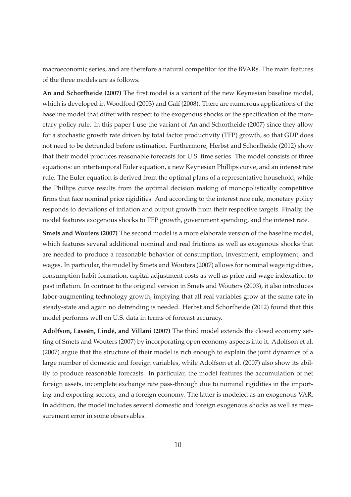macroeconomic series, and are therefore a natural competitor for the BVARs. The main features of the three models are as follows.

**An and Schorfheide (2007)** The first model is a variant of the new Keynesian baseline model, which is developed in Woodford (2003) and Galí (2008). There are numerous applications of the baseline model that differ with respect to the exogenous shocks or the specification of the monetary policy rule. In this paper I use the variant of An and Schorfheide (2007) since they allow for a stochastic growth rate driven by total factor productivity (TFP) growth, so that GDP does not need to be detrended before estimation. Furthermore, Herbst and Schorfheide (2012) show that their model produces reasonable forecasts for U.S. time series. The model consists of three equations: an intertemporal Euler equation, a new Keynesian Phillips curve, and an interest rate rule. The Euler equation is derived from the optimal plans of a representative household, while the Phillips curve results from the optimal decision making of monopolistically competitive firms that face nominal price rigidities. And according to the interest rate rule, monetary policy responds to deviations of inflation and output growth from their respective targets. Finally, the model features exogenous shocks to TFP growth, government spending, and the interest rate.

**Smets and Wouters (2007)** The second model is a more elaborate version of the baseline model, which features several additional nominal and real frictions as well as exogenous shocks that are needed to produce a reasonable behavior of consumption, investment, employment, and wages. In particular, the model by Smets and Wouters (2007) allows for nominal wage rigidities, consumption habit formation, capital adjustment costs as well as price and wage indexation to past inflation. In contrast to the original version in Smets and Wouters (2003), it also introduces labor-augmenting technology growth, implying that all real variables grow at the same rate in steady-state and again no detrending is needed. Herbst and Schorfheide (2012) found that this model performs well on U.S. data in terms of forecast accuracy.

**Adolfson, Laseén, Lindé, and Villani (2007)** The third model extends the closed economy setting of Smets and Wouters (2007) by incorporating open economy aspects into it. Adolfson et al. (2007) argue that the structure of their model is rich enough to explain the joint dynamics of a large number of domestic and foreign variables, while Adolfson et al. (2007) also show its ability to produce reasonable forecasts. In particular, the model features the accumulation of net foreign assets, incomplete exchange rate pass-through due to nominal rigidities in the importing and exporting sectors, and a foreign economy. The latter is modeled as an exogenous VAR. In addition, the model includes several domestic and foreign exogenous shocks as well as measurement error in some observables.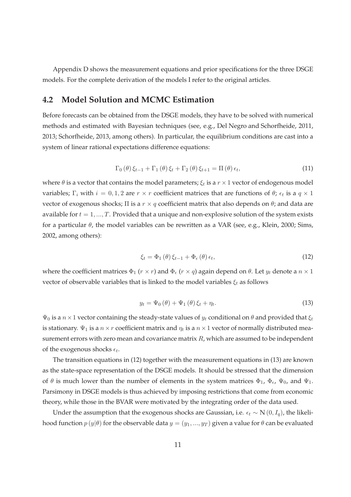Appendix D shows the measurement equations and prior specifications for the three DSGE models. For the complete derivation of the models I refer to the original articles.

### **4.2 Model Solution and MCMC Estimation**

Before forecasts can be obtained from the DSGE models, they have to be solved with numerical methods and estimated with Bayesian techniques (see, e.g., Del Negro and Schorfheide, 2011, 2013; Schorfheide, 2013, among others). In particular, the equilibrium conditions are cast into a system of linear rational expectations difference equations:

$$
\Gamma_0(\theta)\xi_{t-1} + \Gamma_1(\theta)\xi_t + \Gamma_2(\theta)\xi_{t+1} = \Pi(\theta)\epsilon_t, \tag{11}
$$

where  $\theta$  is a vector that contains the model parameters;  $\xi_t$  is a  $r \times 1$  vector of endogenous model variables;  $\Gamma_i$  with  $i=0,1,2$  are  $r\times r$  coefficient matrices that are functions of  $\theta$ ;  $\epsilon_t$  is a  $q\times 1$ vector of exogenous shocks;  $\Pi$  is a  $r \times q$  coefficient matrix that also depends on  $\theta$ ; and data are available for  $t = 1, ..., T$ . Provided that a unique and non-explosive solution of the system exists for a particular  $\theta$ , the model variables can be rewritten as a VAR (see, e.g., Klein, 2000; Sims, 2002, among others):

$$
\xi_t = \Phi_1(\theta) \, \xi_{t-1} + \Phi_\epsilon(\theta) \, \epsilon_t,\tag{12}
$$

where the coefficient matrices  $\Phi_1$  ( $r \times r$ ) and  $\Phi_\epsilon$  ( $r \times q$ ) again depend on  $\theta$ . Let  $y_t$  denote a  $n \times 1$ vector of observable variables that is linked to the model variables  $\xi_t$  as follows

$$
y_t = \Psi_0(\theta) + \Psi_1(\theta)\xi_t + \eta_t.
$$
\n(13)

 $\Psi_0$  is a  $n \times 1$  vector containing the steady-state values of  $y_t$  conditional on  $\theta$  and provided that  $\xi_t$ is stationary.  $\Psi_1$  is a  $n \times r$  coefficient matrix and  $\eta_t$  is a  $n \times 1$  vector of normally distributed measurement errors with zero mean and covariance matrix  $R$ , which are assumed to be independent of the exogenous shocks  $\epsilon_t$ .

The transition equations in (12) together with the measurement equations in (13) are known as the state-space representation of the DSGE models. It should be stressed that the dimension of  $\theta$  is much lower than the number of elements in the system matrices  $\Phi_1$ ,  $\Phi_\epsilon$ ,  $\Psi_0$ , and  $\Psi_1$ . Parsimony in DSGE models is thus achieved by imposing restrictions that come from economic theory, while those in the BVAR were motivated by the integrating order of the data used.

Under the assumption that the exogenous shocks are Gaussian, i.e.  $\epsilon_t$  ∼ N (0,  $I_q$ ), the likelihood function  $p(y|\theta)$  for the observable data  $y = (y_1, ..., y_T)$  given a value for  $\theta$  can be evaluated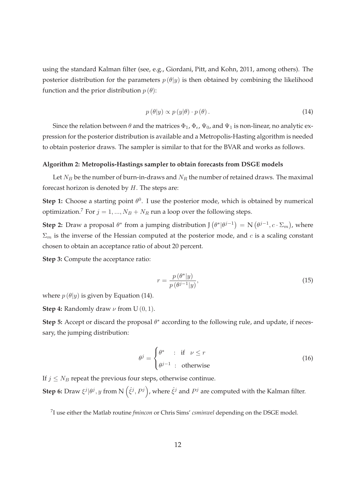using the standard Kalman filter (see, e.g., Giordani, Pitt, and Kohn, 2011, among others). The posterior distribution for the parameters  $p(\theta|y)$  is then obtained by combining the likelihood function and the prior distribution  $p(\theta)$ :

$$
p(\theta|y) \propto p(y|\theta) \cdot p(\theta). \tag{14}
$$

Since the relation between  $\theta$  and the matrices  $\Phi_1$ ,  $\Phi_\epsilon$ ,  $\Psi_0$ , and  $\Psi_1$  is non-linear, no analytic expression for the posterior distribution is available and a Metropolis-Hasting algorithm is needed to obtain posterior draws. The sampler is similar to that for the BVAR and works as follows.

#### **Algorithm 2: Metropolis-Hastings sampler to obtain forecasts from DSGE models**

Let  $N_B$  be the number of burn-in-draws and  $N_R$  the number of retained draws. The maximal forecast horizon is denoted by  $H$ . The steps are:

**Step 1:** Choose a starting point  $\theta^0$ . I use the posterior mode, which is obtained by numerical optimization.<sup>7</sup> For  $j = 1, ..., N_B + N_R$  run a loop over the following steps.

**Step 2:** Draw a proposal  $\theta^*$  from a jumping distribution  $J(\theta^*|\theta^{j-1}) = N(\theta^{j-1}, c \cdot \Sigma_m)$ , where  $\Sigma_m$  is the inverse of the Hessian computed at the posterior mode, and c is a scaling constant chosen to obtain an acceptance ratio of about 20 percent.

**Step 3:** Compute the acceptance ratio:

$$
r = \frac{p(\theta^*|y)}{p(\theta^{j-1}|y)},\tag{15}
$$

where  $p(\theta|y)$  is given by Equation (14).

**Step 4:** Randomly draw  $\nu$  from U  $(0, 1)$ .

**Step 5:** Accept or discard the proposal  $\theta^*$  according to the following rule, and update, if necessary, the jumping distribution:

$$
\theta^{j} = \begin{cases} \theta^{*} & : \text{ if } \nu \leq r \\ \theta^{j-1} & : \text{ otherwise} \end{cases}
$$
 (16)

If  $j \leq N_B$  repeat the previous four steps, otherwise continue.

**Step 6:** Draw  $\xi^j | \theta^j, y$  from N  $(\hat{\xi}^j, P^j)$ , where  $\hat{\xi}^j$  and  $P^j$  are computed with the Kalman filter.

7 I use either the Matlab routine *fmincon* or Chris Sims' *csminwel* depending on the DSGE model.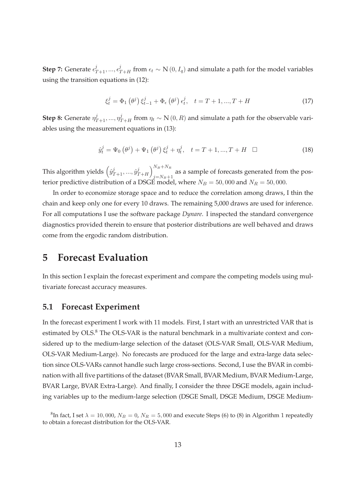**Step 7:** Generate  $\epsilon_{T+1}^j, ..., \epsilon_{T+H}^j$  from  $\epsilon_t \sim N(0, I_q)$  and simulate a path for the model variables using the transition equations in (12):

$$
\xi_t^j = \Phi_1\left(\theta^j\right)\xi_{t-1}^j + \Phi_\epsilon\left(\theta^j\right)\epsilon_t^j, \quad t = T+1, ..., T+H
$$
\n(17)

**Step 8:** Generate  $\eta_{T+1}^j,...,\eta_{T+H}^j$  from  $\eta_t \sim \text{N}(0,R)$  and simulate a path for the observable variables using the measurement equations in (13):

$$
\hat{y}_t^j = \Psi_0(\theta^j) + \Psi_1(\theta^j) \xi_t^j + \eta_t^j, \quad t = T + 1, ..., T + H \quad \Box \tag{18}
$$

This algorithm yields  $\left(\hat{y}^j_{T+1},...,\hat{y}^j_{T+H}\right)_{i=N+1}^{N_B+N_R}$ as a sample of forecasts generated from the pos-<br> $j=N_B+1$ terior predictive distribution of a DSGE model, where  $N_B = 50,000$  and  $N_R = 50,000$ .

In order to economize storage space and to reduce the correlation among draws, I thin the chain and keep only one for every 10 draws. The remaining 5,000 draws are used for inference. For all computations I use the software package *Dynare*. I inspected the standard convergence diagnostics provided therein to ensure that posterior distributions are well behaved and draws come from the ergodic random distribution.

### **5 Forecast Evaluation**

In this section I explain the forecast experiment and compare the competing models using multivariate forecast accuracy measures.

#### **5.1 Forecast Experiment**

In the forecast experiment I work with 11 models. First, I start with an unrestricted VAR that is estimated by OLS.<sup>8</sup> The OLS-VAR is the natural benchmark in a multivariate context and considered up to the medium-large selection of the dataset (OLS-VAR Small, OLS-VAR Medium, OLS-VAR Medium-Large). No forecasts are produced for the large and extra-large data selection since OLS-VARs cannot handle such large cross-sections. Second, I use the BVAR in combination with all five partitions of the dataset (BVAR Small, BVAR Medium, BVAR Medium-Large, BVAR Large, BVAR Extra-Large). And finally, I consider the three DSGE models, again including variables up to the medium-large selection (DSGE Small, DSGE Medium, DSGE Medium-

<sup>8</sup>In fact, I set  $\lambda = 10,000$ ,  $N_B = 0$ ,  $N_R = 5,000$  and execute Steps (6) to (8) in Algorithm 1 repeatedly to obtain a forecast distribution for the OLS-VAR.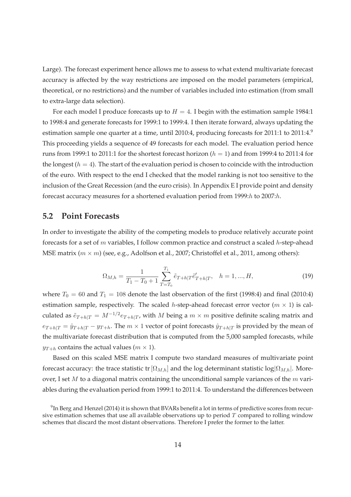Large). The forecast experiment hence allows me to assess to what extend multivariate forecast accuracy is affected by the way restrictions are imposed on the model parameters (empirical, theoretical, or no restrictions) and the number of variables included into estimation (from small to extra-large data selection).

For each model I produce forecasts up to  $H = 4$ . I begin with the estimation sample 1984:1 to 1998:4 and generate forecasts for 1999:1 to 1999:4. I then iterate forward, always updating the estimation sample one quarter at a time, until 2010:4, producing forecasts for 2011:1 to 2011:4.<sup>9</sup> This proceeding yields a sequence of 49 forecasts for each model. The evaluation period hence runs from 1999:1 to 2011:1 for the shortest forecast horizon ( $h = 1$ ) and from 1999:4 to 2011:4 for the longest ( $h = 4$ ). The start of the evaluation period is chosen to coincide with the introduction of the euro. With respect to the end I checked that the model ranking is not too sensitive to the inclusion of the Great Recession (and the euro crisis). In Appendix E I provide point and density forecast accuracy measures for a shortened evaluation period from 1999:h to 2007:h.

#### **5.2 Point Forecasts**

In order to investigate the ability of the competing models to produce relatively accurate point forecasts for a set of m variables, I follow common practice and construct a scaled h-step-ahead MSE matrix  $(m \times m)$  (see, e.g., Adolfson et al., 2007; Christoffel et al., 2011, among others):

$$
\Omega_{M,h} = \frac{1}{T_1 - T_0 + 1} \sum_{T=T_0}^{T_1} \tilde{e}_{T+h|T} \tilde{e}'_{T+h|T}, \quad h = 1, ..., H,
$$
\n(19)

where  $T_0 = 60$  and  $T_1 = 108$  denote the last observation of the first (1998:4) and final (2010:4) estimation sample, respectively. The scaled h-step-ahead forecast error vector ( $m \times 1$ ) is calculated as  $\tilde{e}_{T+h|T} = M^{-1/2} e_{T+h|T}$ , with  $M$  being a  $m \times m$  positive definite scaling matrix and  $e_{T+h|T} = \hat{y}_{T+h|T} - y_{T+h}$ . The  $m \times 1$  vector of point forecasts  $\hat{y}_{T+h|T}$  is provided by the mean of the multivariate forecast distribution that is computed from the 5,000 sampled forecasts, while  $y_{T+h}$  contains the actual values ( $m \times 1$ ).

Based on this scaled MSE matrix I compute two standard measures of multivariate point forecast accuracy: the trace statistic tr $[\Omega_{M,h}]$  and the log determinant statistic log $|\Omega_{M,h}|$ . Moreover, I set  $M$  to a diagonal matrix containing the unconditional sample variances of the  $m$  variables during the evaluation period from 1999:1 to 2011:4. To understand the differences between

 $^9$ In Berg and Henzel (2014) it is shown that BVARs benefit a lot in terms of predictive scores from recursive estimation schemes that use all available observations up to period  $T$  compared to rolling window schemes that discard the most distant observations. Therefore I prefer the former to the latter.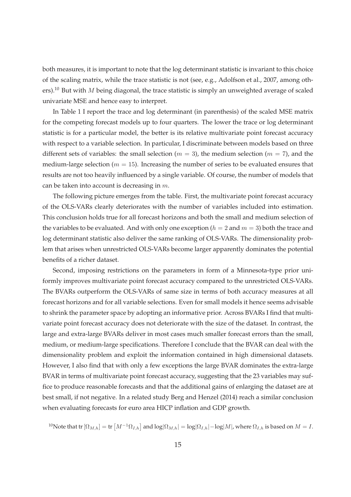both measures, it is important to note that the log determinant statistic is invariant to this choice of the scaling matrix, while the trace statistic is not (see, e.g., Adolfson et al., 2007, among others).<sup>10</sup> But with *M* being diagonal, the trace statistic is simply an unweighted average of scaled univariate MSE and hence easy to interpret.

In Table 1 I report the trace and log determinant (in parenthesis) of the scaled MSE matrix for the competing forecast models up to four quarters. The lower the trace or log determinant statistic is for a particular model, the better is its relative multivariate point forecast accuracy with respect to a variable selection. In particular, I discriminate between models based on three different sets of variables: the small selection ( $m = 3$ ), the medium selection ( $m = 7$ ), and the medium-large selection ( $m = 15$ ). Increasing the number of series to be evaluated ensures that results are not too heavily influenced by a single variable. Of course, the number of models that can be taken into account is decreasing in m.

The following picture emerges from the table. First, the multivariate point forecast accuracy of the OLS-VARs clearly deteriorates with the number of variables included into estimation. This conclusion holds true for all forecast horizons and both the small and medium selection of the variables to be evaluated. And with only one exception ( $h = 2$  and  $m = 3$ ) both the trace and log determinant statistic also deliver the same ranking of OLS-VARs. The dimensionality problem that arises when unrestricted OLS-VARs become larger apparently dominates the potential benefits of a richer dataset.

Second, imposing restrictions on the parameters in form of a Minnesota-type prior uniformly improves multivariate point forecast accuracy compared to the unrestricted OLS-VARs. The BVARs outperform the OLS-VARs of same size in terms of both accuracy measures at all forecast horizons and for all variable selections. Even for small models it hence seems advisable to shrink the parameter space by adopting an informative prior. Across BVARs I find that multivariate point forecast accuracy does not deteriorate with the size of the dataset. In contrast, the large and extra-large BVARs deliver in most cases much smaller forecast errors than the small, medium, or medium-large specifications. Therefore I conclude that the BVAR can deal with the dimensionality problem and exploit the information contained in high dimensional datasets. However, I also find that with only a few exceptions the large BVAR dominates the extra-large BVAR in terms of multivariate point forecast accuracy, suggesting that the 23 variables may suffice to produce reasonable forecasts and that the additional gains of enlarging the dataset are at best small, if not negative. In a related study Berg and Henzel (2014) reach a similar conclusion when evaluating forecasts for euro area HICP inflation and GDP growth.

<sup>10</sup>Note that tr  $[\Omega_{M,h}] =$  tr  $[M^{-1}\Omega_{I,h}]$  and  $\log|\Omega_{M,h}| = \log|\Omega_{I,h}| - \log|M|$ , where  $\Omega_{I,h}$  is based on  $M = I$ .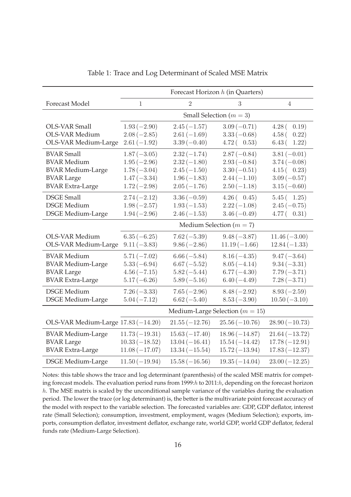|                                                                                                                     |                                                                                   | Forecast Horizon h (in Quarters)                                                  |                                                                                   |                                                                                         |  |
|---------------------------------------------------------------------------------------------------------------------|-----------------------------------------------------------------------------------|-----------------------------------------------------------------------------------|-----------------------------------------------------------------------------------|-----------------------------------------------------------------------------------------|--|
| <b>Forecast Model</b>                                                                                               | $\mathbf{1}$                                                                      | $\overline{2}$                                                                    | 3                                                                                 | $\overline{4}$                                                                          |  |
|                                                                                                                     |                                                                                   |                                                                                   | Small Selection ( $m = 3$ )                                                       |                                                                                         |  |
| <b>OLS-VAR Small</b><br><b>OLS-VAR Medium</b><br><b>OLS-VAR Medium-Large</b>                                        | $1.93(-2.90)$<br>$2.08(-2.85)$<br>$2.61(-1.92)$                                   | $2.45(-1.57)$<br>$2.61(-1.69)$<br>$3.39(-0.40)$                                   | $3.09(-0.71)$<br>$3.33(-0.68)$<br>$4.72(-0.53)$                                   | (0.19)<br>4.28 <sup>′</sup><br>4.58 <sup>′</sup><br>0.22)<br>6.43 <sup>′</sup><br>1.22) |  |
| <b>BVAR Small</b><br><b>BVAR</b> Medium<br><b>BVAR Medium-Large</b><br><b>BVAR Large</b><br><b>BVAR Extra-Large</b> | $1.87(-3.05)$<br>$1.95(-2.96)$<br>$1.78(-3.04)$<br>$1.47(-3.34)$<br>$1.72(-2.98)$ | $2.32(-1.74)$<br>$2.32(-1.80)$<br>$2.45(-1.50)$<br>$1.96(-1.83)$<br>$2.05(-1.76)$ | $2.87(-0.84)$<br>$2.93(-0.84)$<br>$3.30(-0.51)$<br>$2.44(-1.10)$<br>$2.50(-1.18)$ | $3.81(-0.01)$<br>$3.74(-0.08)$<br>$4.15(-0.23)$<br>$3.09(-0.57)$<br>$3.15(-0.60)$       |  |
| <b>DSGE</b> Small<br><b>DSGE</b> Medium<br><b>DSGE Medium-Large</b>                                                 | $2.74(-2.12)$<br>$1.98(-2.57)$<br>$1.94(-2.96)$                                   | $3.36(-0.59)$<br>$1.93(-1.53)$<br>$2.46(-1.53)$                                   | $4.26(-0.45)$<br>$2.22(-1.08)$<br>$3.46(-0.49)$                                   | $5.45(-1.25)$<br>$2.45(-0.75)$<br>$4.77(-0.31)$                                         |  |
|                                                                                                                     | Medium Selection ( $m = 7$ )                                                      |                                                                                   |                                                                                   |                                                                                         |  |
| <b>OLS-VAR Medium</b><br><b>OLS-VAR Medium-Large</b>                                                                | $6.35(-6.25)$<br>$9.11(-3.83)$                                                    | $7.62(-5.39)$<br>$9.86(-2.86)$                                                    | $9.48(-3.87)$<br>$11.19(-1.66)$                                                   | $11.46(-3.00)$<br>$12.84(-1.33)$                                                        |  |
| <b>BVAR</b> Medium<br><b>BVAR Medium-Large</b><br><b>BVAR</b> Large<br><b>BVAR Extra-Large</b>                      | $5.71(-7.02)$<br>$5.33(-6.94)$<br>$4.56(-7.15)$<br>$5.17(-6.26)$                  | $6.66(-5.84)$<br>$6.67(-5.52)$<br>$5.82(-5.44)$<br>$5.89(-5.16)$                  | $8.16(-4.35)$<br>$8.05(-4.14)$<br>$6.77(-4.30)$<br>$6.40(-4.49)$                  | $9.47(-3.64)$<br>$9.34(-3.31)$<br>$7.79(-3.71)$<br>$7.28(-3.71)$                        |  |
| <b>DSGE</b> Medium<br><b>DSGE Medium-Large</b>                                                                      | $7.26(-3.33)$<br>$5.04(-7.12)$                                                    | $7.65(-2.96)$<br>$6.62(-5.40)$                                                    | $8.48(-2.92)$<br>$8.53(-3.90)$                                                    | $8.93(-2.59)$<br>$10.50(-3.10)$                                                         |  |
|                                                                                                                     |                                                                                   |                                                                                   | Medium-Large Selection ( $m = 15$ )                                               |                                                                                         |  |
| OLS-VAR Medium-Large $17.83$ ( $-14.20$ )                                                                           |                                                                                   | $21.55(-12.76)$                                                                   | $25.56(-10.76)$                                                                   | $28.90(-10.73)$                                                                         |  |
| <b>BVAR Medium-Large</b><br><b>BVAR Large</b><br><b>BVAR Extra-Large</b>                                            | $11.73(-19.31)$<br>$10.33(-18.52)$<br>$11.08(-17.07)$                             | $15.63(-17.40)$<br>$13.04(-16.41)$<br>$13.34(-15.54)$                             | $18.96(-14.87)$<br>$15.54(-14.42)$<br>$15.72(-13.94)$                             | $21.64(-13.72)$<br>$17.78(-12.91)$<br>$17.83(-12.37)$                                   |  |
| <b>DSGE Medium-Large</b>                                                                                            | $11.50(-19.94)$                                                                   | $15.58(-16.56)$                                                                   | $19.35(-14.04)$                                                                   | $23.00(-12.25)$                                                                         |  |

Table 1: Trace and Log Determinant of Scaled MSE Matrix

Notes: this table shows the trace and log determinant (parenthesis) of the scaled MSE matrix for competing forecast models. The evaluation period runs from 1999:h to 2011:h, depending on the forecast horizon h. The MSE matrix is scaled by the unconditional sample variance of the variables during the evaluation period. The lower the trace (or log determinant) is, the better is the multivariate point forecast accuracy of the model with respect to the variable selection. The forecasted variables are: GDP, GDP deflator, interest rate (Small Selection); consumption, investment, employment, wages (Medium Selection); exports, imports, consumption deflator, investment deflator, exchange rate, world GDP, world GDP deflator, federal funds rate (Medium-Large Selection).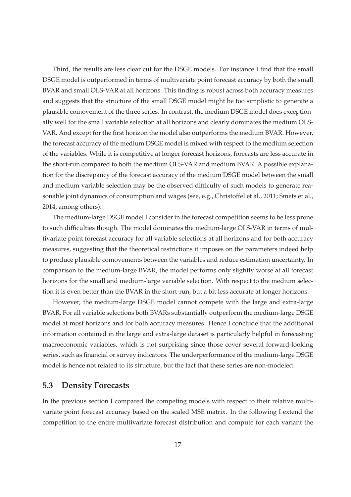Third, the results are less clear cut for the DSGE models. For instance I find that the small DSGE model is outperformed in terms of multivariate point forecast accuracy by both the small BVAR and small OLS-VAR at all horizons. This finding is robust across both accuracy measures and suggests that the structure of the small DSGE model might be too simplistic to generate a plausible comovement of the three series. In contrast, the medium DSGE model does exceptionally well for the small variable selection at all horizons and clearly dominates the medium OLS-VAR. And except for the first horizon the model also outperforms the medium BVAR. However, the forecast accuracy of the medium DSGE model is mixed with respect to the medium selection of the variables. While it is competitive at longer forecast horizons, forecasts are less accurate in the short-run compared to both the medium OLS-VAR and medium BVAR. A possible explanation for the discrepancy of the forecast accuracy of the medium DSGE model between the small and medium variable selection may be the observed difficulty of such models to generate reasonable joint dynamics of consumption and wages (see, e.g., Christoffel et al., 2011; Smets et al., 2014, among others).

The medium-large DSGE model I consider in the forecast competition seems to be less prone to such difficulties though. The model dominates the medium-large OLS-VAR in terms of multivariate point forecast accuracy for all variable selections at all horizons and for both accuracy measures, suggesting that the theoretical restrictions it imposes on the parameters indeed help to produce plausible comovements between the variables and reduce estimation uncertainty. In comparison to the medium-large BVAR, the model performs only slightly worse at all forecast horizons for the small and medium-large variable selection. With respect to the medium selection it is even better than the BVAR in the short-run, but a bit less accurate at longer horizons.

However, the medium-large DSGE model cannot compete with the large and extra-large BVAR. For all variable selections both BVARs substantially outperform the medium-large DSGE model at most horizons and for both accuracy measures. Hence I conclude that the additional information contained in the large and extra-large dataset is particularly helpful in forecasting macroeconomic variables, which is not surprising since those cover several forward-looking series, such as financial or survey indicators. The underperformance of the medium-large DSGE model is hence not related to its structure, but the fact that these series are non-modeled.

#### **5.3 Density Forecasts**

In the previous section I compared the competing models with respect to their relative multivariate point forecast accuracy based on the scaled MSE matrix. In the following I extend the competition to the entire multivariate forecast distribution and compute for each variant the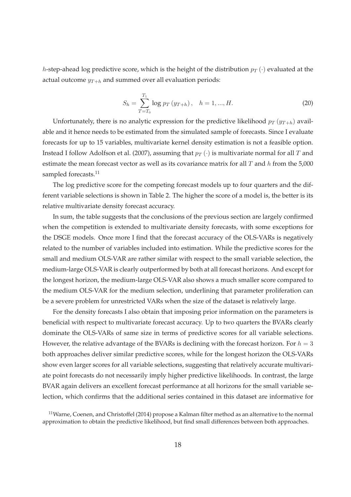h-step-ahead log predictive score, which is the height of the distribution  $p_T(\cdot)$  evaluated at the actual outcome  $y_{T+h}$  and summed over all evaluation periods:

$$
S_h = \sum_{T=T_0}^{T_1} \log p_T(y_{T+h}), \quad h = 1, ..., H.
$$
 (20)

Unfortunately, there is no analytic expression for the predictive likelihood  $p_T(y_{T+h})$  available and it hence needs to be estimated from the simulated sample of forecasts. Since I evaluate forecasts for up to 15 variables, multivariate kernel density estimation is not a feasible option. Instead I follow Adolfson et al. (2007), assuming that  $p_T(\cdot)$  is multivariate normal for all T and estimate the mean forecast vector as well as its covariance matrix for all  $T$  and  $h$  from the 5,000 sampled forecasts.<sup>11</sup>

The log predictive score for the competing forecast models up to four quarters and the different variable selections is shown in Table 2. The higher the score of a model is, the better is its relative multivariate density forecast accuracy.

In sum, the table suggests that the conclusions of the previous section are largely confirmed when the competition is extended to multivariate density forecasts, with some exceptions for the DSGE models. Once more I find that the forecast accuracy of the OLS-VARs is negatively related to the number of variables included into estimation. While the predictive scores for the small and medium OLS-VAR are rather similar with respect to the small variable selection, the medium-large OLS-VAR is clearly outperformed by both at all forecast horizons. And except for the longest horizon, the medium-large OLS-VAR also shows a much smaller score compared to the medium OLS-VAR for the medium selection, underlining that parameter proliferation can be a severe problem for unrestricted VARs when the size of the dataset is relatively large.

For the density forecasts I also obtain that imposing prior information on the parameters is beneficial with respect to multivariate forecast accuracy. Up to two quarters the BVARs clearly dominate the OLS-VARs of same size in terms of predictive scores for all variable selections. However, the relative advantage of the BVARs is declining with the forecast horizon. For  $h = 3$ both approaches deliver similar predictive scores, while for the longest horizon the OLS-VARs show even larger scores for all variable selections, suggesting that relatively accurate multivariate point forecasts do not necessarily imply higher predictive likelihoods. In contrast, the large BVAR again delivers an excellent forecast performance at all horizons for the small variable selection, which confirms that the additional series contained in this dataset are informative for

<sup>11</sup> Warne, Coenen, and Christoffel (2014) propose a Kalman filter method as an alternative to the normal approximation to obtain the predictive likelihood, but find small differences between both approaches.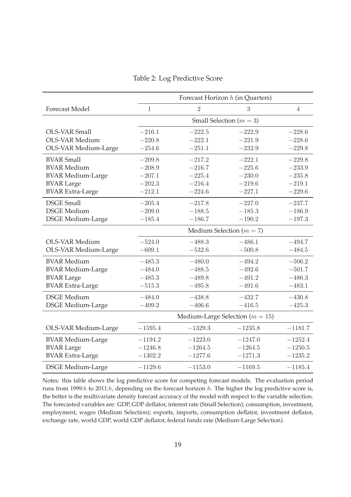Table 2: Log Predictive Score

|                             | Forecast Horizon h (in Quarters) |                              |                                     |                |  |  |
|-----------------------------|----------------------------------|------------------------------|-------------------------------------|----------------|--|--|
| <b>Forecast Model</b>       | $\mathbf{1}$                     | $\overline{2}$               | 3                                   | $\overline{4}$ |  |  |
|                             |                                  | Small Selection ( $m = 3$ )  |                                     |                |  |  |
| <b>OLS-VAR Small</b>        | $-216.1$                         | $-222.5$                     | $-222.9$                            | $-228.6$       |  |  |
| <b>OLS-VAR Medium</b>       | $-220.8$                         | $-222.1$                     | $-221.9$                            | $-228.6$       |  |  |
| <b>OLS-VAR Medium-Large</b> | $-254.6$                         | $-251.1$                     | $-232.9$                            | $-229.8$       |  |  |
| <b>BVAR Small</b>           | $-209.8$                         | $-217.2$                     | $-222.1$                            | $-229.8$       |  |  |
| <b>BVAR</b> Medium          | $-208.9$                         | $-216.7$                     | $-225.6$                            | $-233.9$       |  |  |
| <b>BVAR Medium-Large</b>    | $-207.1$                         | $-225.4$                     | $-230.0$                            | $-235.8$       |  |  |
| <b>BVAR Large</b>           | $-202.3$                         | $-216.4$                     | $-219.6$                            | $-219.1$       |  |  |
| <b>BVAR Extra-Large</b>     | $-212.1$                         | $-224.6$                     | $-227.1$                            | $-229.6$       |  |  |
| <b>DSGE</b> Small           | $-205.4$                         | $-217.8$                     | $-227.0$                            | $-237.7$       |  |  |
| <b>DSGE</b> Medium          | $-209.0$                         | $-188.5$                     | $-185.3$                            | $-186.9$       |  |  |
| <b>DSGE Medium-Large</b>    | $-185.4\,$                       | $-186.7$                     | $-190.2$                            | $-197.3$       |  |  |
|                             |                                  | Medium Selection ( $m = 7$ ) |                                     |                |  |  |
| <b>OLS-VAR Medium</b>       | $-524.0$                         | $-488.3$                     | $-486.1$                            | $-494.7$       |  |  |
| <b>OLS-VAR Medium-Large</b> | $-609.1$                         | $-532.6$                     | $-500.8$                            | $-484.5$       |  |  |
| <b>BVAR</b> Medium          | $-485.3$                         | $-480.0$                     | $-494.2$                            | $-506.2$       |  |  |
| <b>BVAR Medium-Large</b>    | $-484.0$                         | $-488.5$                     | $-492.6$                            | $-501.7$       |  |  |
| <b>BVAR</b> Large           | $-485.3$                         | $-489.8$                     | $-491.2$                            | $-486.3$       |  |  |
| <b>BVAR Extra-Large</b>     | $-515.3$                         | $-495.8$                     | $-491.6$                            | $-483.1$       |  |  |
| <b>DSGE</b> Medium          | $-484.0$                         | $-438.8$                     | $-432.7$                            | $-430.8$       |  |  |
| <b>DSGE</b> Medium-Large    | $-409.2$                         | $-406.6$                     | $-416.5$                            | $-425.3$       |  |  |
|                             |                                  |                              | Medium-Large Selection ( $m = 15$ ) |                |  |  |
| <b>OLS-VAR Medium-Large</b> | $-1595.4$                        | $-1329.3$                    | $-1235.8$                           | $-1181.7$      |  |  |
| <b>BVAR Medium-Large</b>    | $-1194.2$                        | $-1223.0$                    | $-1247.0$                           | $-1252.4$      |  |  |
| <b>BVAR</b> Large           | $-1246.8$                        | $-1264.5$                    | $-1264.5$                           | $-1250.5$      |  |  |
| <b>BVAR Extra-Large</b>     | $-1302.2$                        | $-1277.6$                    | $-1271.3$                           | $-1235.2$      |  |  |
| <b>DSGE Medium-Large</b>    | $-1129.6$                        | $-1153.0$                    | $-1169.5$                           | $-1185.4$      |  |  |

Notes: this table shows the log predictive score for competing forecast models. The evaluation period runs from 1999:h to 2011:h, depending on the forecast horizon h. The higher the log predictive score is, the better is the multivariate density forecast accuracy of the model with respect to the variable selection. The forecasted variables are: GDP, GDP deflator, interest rate (Small Selection); consumption, investment, employment, wages (Medium Selection); exports, imports, consumption deflator, investment deflator, exchange rate, world GDP, world GDP deflator, federal funds rate (Medium-Large Selection).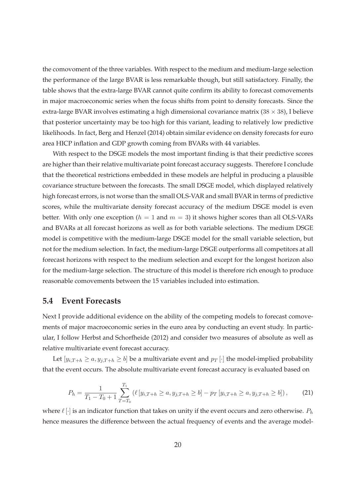the comovoment of the three variables. With respect to the medium and medium-large selection the performance of the large BVAR is less remarkable though, but still satisfactory. Finally, the table shows that the extra-large BVAR cannot quite confirm its ability to forecast comovements in major macroeconomic series when the focus shifts from point to density forecasts. Since the extra-large BVAR involves estimating a high dimensional covariance matrix  $(38 \times 38)$ , I believe that posterior uncertainty may be too high for this variant, leading to relatively low predictive likelihoods. In fact, Berg and Henzel (2014) obtain similar evidence on density forecasts for euro area HICP inflation and GDP growth coming from BVARs with 44 variables.

With respect to the DSGE models the most important finding is that their predictive scores are higher than their relative multivariate point forecast accuracy suggests. Therefore I conclude that the theoretical restrictions embedded in these models are helpful in producing a plausible covariance structure between the forecasts. The small DSGE model, which displayed relatively high forecast errors, is not worse than the small OLS-VAR and small BVAR in terms of predictive scores, while the multivariate density forecast accuracy of the medium DSGE model is even better. With only one exception ( $h = 1$  and  $m = 3$ ) it shows higher scores than all OLS-VARs and BVARs at all forecast horizons as well as for both variable selections. The medium DSGE model is competitive with the medium-large DSGE model for the small variable selection, but not for the medium selection. In fact, the medium-large DSGE outperforms all competitors at all forecast horizons with respect to the medium selection and except for the longest horizon also for the medium-large selection. The structure of this model is therefore rich enough to produce reasonable comovements between the 15 variables included into estimation.

#### **5.4 Event Forecasts**

Next I provide additional evidence on the ability of the competing models to forecast comovements of major macroeconomic series in the euro area by conducting an event study. In particular, I follow Herbst and Schorfheide (2012) and consider two measures of absolute as well as relative multivariate event forecast accuracy.

Let  $[y_{i,T+h} \ge a, y_{i,T+h} \ge b]$  be a multivariate event and  $p_T[\cdot]$  the model-implied probability that the event occurs. The absolute multivariate event forecast accuracy is evaluated based on

$$
P_h = \frac{1}{T_1 - T_0 + 1} \sum_{T=T_0}^{T_1} \left( \ell \left[ y_{i,T+h} \ge a, y_{j,T+h} \ge b \right] - p_T \left[ y_{i,T+h} \ge a, y_{j,T+h} \ge b \right] \right),\tag{21}
$$

where  $\ell[\cdot]$  is an indicator function that takes on unity if the event occurs and zero otherwise.  $P_h$ hence measures the difference between the actual frequency of events and the average model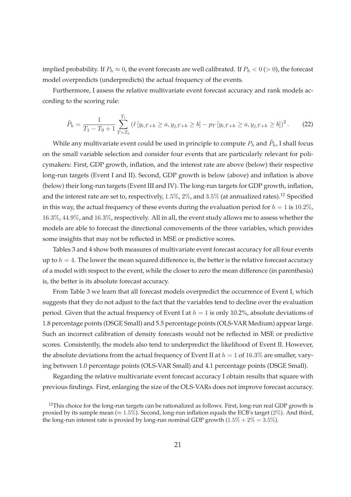implied probability. If  $P_h \approx 0$ , the event forecasts are well calibrated. If  $P_h < 0$  (> 0), the forecast model overpredicts (underpredicts) the actual frequency of the events.

Furthermore, I assess the relative multivariate event forecast accuracy and rank models according to the scoring rule:

$$
\tilde{P}_h = \frac{1}{T_1 - T_0 + 1} \sum_{T = T_0}^{T_1} \left( \ell \left[ y_{i,T+h} \ge a, y_{j,T+h} \ge b \right] - p_T \left[ y_{i,T+h} \ge a, y_{j,T+h} \ge b \right] \right)^2. \tag{22}
$$

While any multivariate event could be used in principle to compute  $P_h$  and  $\tilde{P}_h$ , I shall focus on the small variable selection and consider four events that are particularly relevant for policymakers: First, GDP growth, inflation, and the interest rate are above (below) their respective long-run targets (Event I and II). Second, GDP growth is below (above) and inflation is above (below) their long-run targets (Event III and IV). The long-run targets for GDP growth, inflation, and the interest rate are set to, respectively,  $1.5\%$ ,  $2\%$ , and  $3.5\%$  (at annualized rates).<sup>12</sup> Specified in this way, the actual frequency of these events during the evaluation period for  $h = 1$  is 10.2%, 16.3%, 44.9%, and 16.3%, respectively. All in all, the event study allows me to assess whether the models are able to forecast the directional comovements of the three variables, which provides some insights that may not be reflected in MSE or predictive scores.

Tables 3 and 4 show both measures of multivariate event forecast accuracy for all four events up to  $h = 4$ . The lower the mean squared difference is, the better is the relative forecast accuracy of a model with respect to the event, while the closer to zero the mean difference (in parenthesis) is, the better is its absolute forecast accuracy.

From Table 3 we learn that all forecast models overpredict the occurrence of Event I, which suggests that they do not adjust to the fact that the variables tend to decline over the evaluation period. Given that the actual frequency of Event I at  $h = 1$  is only 10.2%, absolute deviations of 1.8 percentage points (DSGE Small) and 5.5 percentage points (OLS-VAR Medium) appear large. Such an incorrect calibration of density forecasts would not be reflected in MSE or predictive scores. Consistently, the models also tend to underpredict the likelihood of Event II. However, the absolute deviations from the actual frequency of Event II at  $h = 1$  of 16.3% are smaller, varying between 1.0 percentage points (OLS-VAR Small) and 4.1 percentage points (DSGE Small).

Regarding the relative multivariate event forecast accuracy I obtain results that square with previous findings. First, enlarging the size of the OLS-VARs does not improve forecast accuracy.

<sup>&</sup>lt;sup>12</sup>This choice for the long-run targets can be rationalized as follows. First, long-run real GDP growth is proxied by its sample mean ( $\approx 1.5\%$ ). Second, long-run inflation equals the ECB's target (2%). And third, the long-run interest rate is proxied by long-run nominal GDP growth  $(1.5\% + 2\% = 3.5\%).$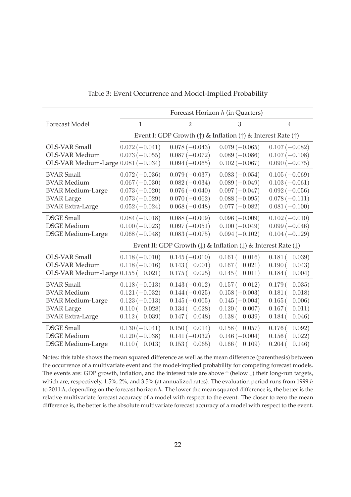|                                                                                                                     |                                                                                             |                                                                                                  | Forecast Horizon h (in Quarters)                                                                  |                                                                                                     |
|---------------------------------------------------------------------------------------------------------------------|---------------------------------------------------------------------------------------------|--------------------------------------------------------------------------------------------------|---------------------------------------------------------------------------------------------------|-----------------------------------------------------------------------------------------------------|
| <b>Forecast Model</b>                                                                                               | 1                                                                                           | $\overline{2}$                                                                                   | 3                                                                                                 | 4                                                                                                   |
|                                                                                                                     |                                                                                             |                                                                                                  | Event I: GDP Growth $(\uparrow)$ & Inflation $(\uparrow)$ & Interest Rate $(\uparrow)$            |                                                                                                     |
| <b>OLS-VAR Small</b><br><b>OLS-VAR Medium</b><br>OLS-VAR Medium-Large 0.081 (-0.034)                                | $0.072(-0.041)$<br>$0.073(-0.055)$                                                          | $0.078(-0.043)$<br>$0.087(-0.072)$<br>$0.094(-0.065)$                                            | $0.079(-0.065)$<br>$0.089(-0.086)$<br>$0.102(-0.067)$                                             | $0.107(-0.082)$<br>$0.107(-0.108)$<br>$0.090(-0.075)$                                               |
| <b>BVAR Small</b><br><b>BVAR</b> Medium<br><b>BVAR Medium-Large</b><br><b>BVAR Large</b><br><b>BVAR Extra-Large</b> | $0.072(-0.036)$<br>$0.067(-0.030)$<br>$0.073(-0.020)$<br>$0.073(-0.029)$<br>$0.052(-0.024)$ | $0.079(-0.037)$<br>$0.082(-0.034)$<br>$0.076(-0.040)$<br>$0.070(-0.062)$<br>$0.068(-0.048)$      | $0.083(-0.054)$<br>$0.089(-0.049)$<br>$0.097(-0.047)$<br>$0.088(-0.095)$<br>$0.077(-0.082)$       | $0.105(-0.069)$<br>$0.103(-0.061)$<br>$0.092(-0.056)$<br>$0.078(-0.111)$<br>$0.081(-0.100)$         |
| <b>DSGE</b> Small<br><b>DSGE</b> Medium<br><b>DSGE Medium-Large</b>                                                 | $0.084(-0.018)$<br>$0.100(-0.023)$<br>$0.068(-0.048)$                                       | $0.088(-0.009)$<br>$0.097(-0.051)$<br>$0.083(-0.075)$                                            | $0.096(-0.009)$<br>$0.100(-0.049)$<br>$0.094(-0.102)$                                             | $0.102(-0.010)$<br>$0.099(-0.046)$<br>$0.104(-0.129)$                                               |
|                                                                                                                     |                                                                                             |                                                                                                  | Event II: GDP Growth $(\downarrow)$ & Inflation $(\downarrow)$ & Interest Rate $(\downarrow)$     |                                                                                                     |
| <b>OLS-VAR Small</b><br><b>OLS-VAR Medium</b><br>OLS-VAR Medium-Large 0.155 (0.021)                                 | $0.118(-0.010)$<br>$0.118(-0.016)$                                                          | $0.145(-0.010)$<br>0.143(<br>0.001)<br>0.175(<br>0.025)                                          | 0.161(<br>0.016)<br>$0.167$ (<br>0.021)<br>0.145(<br>0.011)                                       | 0.181(<br>0.039)<br>0.190(<br>0.043)<br>0.184(<br>0.004)                                            |
| <b>BVAR Small</b><br><b>BVAR</b> Medium<br><b>BVAR Medium-Large</b><br><b>BVAR Large</b><br><b>BVAR Extra-Large</b> | $0.118(-0.013)$<br>$0.121(-0.032)$<br>$0.123(-0.013)$<br>$0.110(-0.028)$<br>$0.112(-0.039)$ | $0.143(-0.012)$<br>$0.144(-0.025)$<br>$0.145(-0.005)$<br>0.134(<br>0.028)<br>0.048)<br>$0.147$ ( | $0.157$ (<br>0.012)<br>$0.158(-0.003)$<br>$0.145(-0.004)$<br>0.120(<br>0.007)<br>0.138(<br>0.039) | 0.179(<br>0.035)<br>0.018)<br>0.181(<br>0.165(<br>0.006)<br>$0.167$ (<br>0.011)<br>0.184(<br>0.046) |
| <b>DSGE</b> Small<br><b>DSGE</b> Medium<br><b>DSGE Medium-Large</b>                                                 | $0.130(-0.041)$<br>$0.120(-0.038)$<br>$0.110(-0.013)$                                       | 0.150(<br>0.014)<br>$0.141(-0.032)$<br>$0.153$ (<br>0.065)                                       | 0.158(<br>0.057)<br>$0.146(-0.004)$<br>$0.166$ (<br>0.109)                                        | $0.176$ (<br>0.092)<br>$0.156$ (<br>0.022)<br>0.204(<br>0.146)                                      |

Table 3: Event Occurrence and Model-Implied Probability

Notes: this table shows the mean squared difference as well as the mean difference (parenthesis) between the occurrence of a multivariate event and the model-implied probability for competing forecast models. The events are: GDP growth, inflation, and the interest rate are above ↑ (below ↓) their long-run targets, which are, respectively, 1.5%, 2%, and 3.5% (at annualized rates). The evaluation period runs from 1999:h to 2011: $h$ , depending on the forecast horizon  $h$ . The lower the mean squared difference is, the better is the relative multivariate forecast accuracy of a model with respect to the event. The closer to zero the mean difference is, the better is the absolute multivariate forecast accuracy of a model with respect to the event.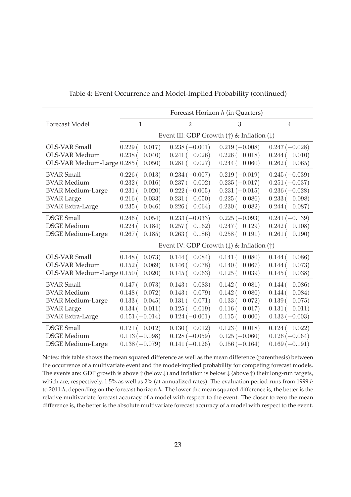|                                                                                                                     |                                                                                                                |                                                                                                  | Forecast Horizon h (in Quarters)                                                                 |                                                                                                 |
|---------------------------------------------------------------------------------------------------------------------|----------------------------------------------------------------------------------------------------------------|--------------------------------------------------------------------------------------------------|--------------------------------------------------------------------------------------------------|-------------------------------------------------------------------------------------------------|
| <b>Forecast Model</b>                                                                                               | 1                                                                                                              | $\overline{2}$                                                                                   | 3                                                                                                | $\overline{4}$                                                                                  |
|                                                                                                                     |                                                                                                                |                                                                                                  | Event III: GDP Growth $(\uparrow)$ & Inflation $(\downarrow)$                                    |                                                                                                 |
| <b>OLS-VAR Small</b><br><b>OLS-VAR Medium</b><br>OLS-VAR Medium-Large 0.285 (                                       | $0.229$ (<br>0.017)<br>0.238 <sup>′</sup><br>0.040)<br>0.050)                                                  | $0.238(-0.001)$<br>$0.241(-0.026)$<br>0.281(<br>0.027)                                           | $0.219(-0.008)$<br>$0.226(-0.018)$<br>0.060)<br>0.244(                                           | $0.247(-0.028)$<br>$0.244(-0.010)$<br>$0.262$ (<br>0.065)                                       |
| <b>BVAR Small</b><br><b>BVAR</b> Medium<br><b>BVAR Medium-Large</b><br><b>BVAR Large</b><br><b>BVAR Extra-Large</b> | 0.226<br>0.013)<br>0.232(<br>0.016)<br>0.231(<br>0.020)<br>0.216<br>0.033)<br>0.235(<br>0.046)                 | $0.234(-0.007)$<br>$0.237(-0.002)$<br>$0.222(-0.005)$<br>0.231(<br>0.050)<br>$0.226$ (<br>0.064) | $0.219(-0.019)$<br>$0.235(-0.017)$<br>$0.231(-0.015)$<br>0.225(<br>0.086)<br>0.230(<br>0.082)    | $0.245(-0.039)$<br>$0.251(-0.037)$<br>$0.236(-0.028)$<br>$0.233(-0.098)$<br>0.244(<br>0.087)    |
| <b>DSGE</b> Small<br><b>DSGE</b> Medium<br><b>DSGE Medium-Large</b>                                                 | 0.054)<br>$0.246$ (<br>0.224(<br>0.184)<br>$0.267$ (<br>0.185)                                                 | $0.233(-0.033)$<br>$0.257(-0.162)$<br>$0.263$ (<br>0.186)                                        | $0.225(-0.093)$<br>$0.247(-0.129)$<br>0.258(<br>0.191)                                           | $0.241(-0.139)$<br>$0.242(-0.108)$<br>0.261(<br>0.190)                                          |
|                                                                                                                     |                                                                                                                |                                                                                                  | Event IV: GDP Growth $(\downarrow)$ & Inflation ( $\uparrow$ )                                   |                                                                                                 |
| <b>OLS-VAR Small</b><br><b>OLS-VAR Medium</b><br>OLS-VAR Medium-Large 0.150 (                                       | 0.148 <sup>′</sup><br>0.073)<br>0.152(<br>0.069)<br>0.020)                                                     | 0.084)<br>0.144(<br>0.078)<br>$0.146$ (<br>0.145(<br>0.063)                                      | 0.141(<br>0.080)<br>0.140(<br>0.067)<br>0.125(<br>0.039)                                         | 0.086)<br>0.144(<br>0.073)<br>0.144(<br>0.145(<br>0.038)                                        |
| <b>BVAR Small</b><br><b>BVAR</b> Medium<br><b>BVAR Medium-Large</b><br><b>BVAR Large</b><br><b>BVAR Extra-Large</b> | $0.147$ (<br>0.073)<br>0.148 <sup>′</sup><br>0.072)<br>0.133(<br>0.045)<br>0.134(<br>0.011)<br>$0.151(-0.014)$ | 0.143(<br>0.083)<br>0.143(<br>0.079)<br>0.131(<br>0.071)<br>0.125(<br>0.019)<br>$0.124(-0.001)$  | 0.142(<br>0.081)<br>0.142(<br>0.080)<br>0.133(<br>0.072)<br>0.116(<br>0.017)<br>0.115(<br>0.000) | 0.144(<br>0.086)<br>0.144(<br>0.084)<br>0.075)<br>0.139(<br>0.131(<br>0.011)<br>$0.133(-0.003)$ |
| <b>DSGE</b> Small<br><b>DSGE</b> Medium<br><b>DSGE Medium-Large</b>                                                 | $0.121(-0.012)$<br>$0.113(-0.098)$<br>$0.138(-0.079)$                                                          | $0.130(-0.012)$<br>$0.128(-0.059)$<br>$0.141(-0.126)$                                            | $0.123$ (<br>0.018)<br>$0.125(-0.060)$<br>$0.156(-0.164)$                                        | $0.124(-0.022)$<br>$0.126(-0.064)$<br>$0.169(-0.191)$                                           |

Table 4: Event Occurrence and Model-Implied Probability (continued)

Notes: this table shows the mean squared difference as well as the mean difference (parenthesis) between the occurrence of a multivariate event and the model-implied probability for competing forecast models. The events are: GDP growth is above  $\uparrow$  (below  $\downarrow$ ) and inflation is below  $\downarrow$  (above  $\uparrow$ ) their long-run targets, which are, respectively, 1.5% as well as 2% (at annualized rates). The evaluation period runs from 1999: $h$ to 2011: $h$ , depending on the forecast horizon  $h$ . The lower the mean squared difference is, the better is the relative multivariate forecast accuracy of a model with respect to the event. The closer to zero the mean difference is, the better is the absolute multivariate forecast accuracy of a model with respect to the event.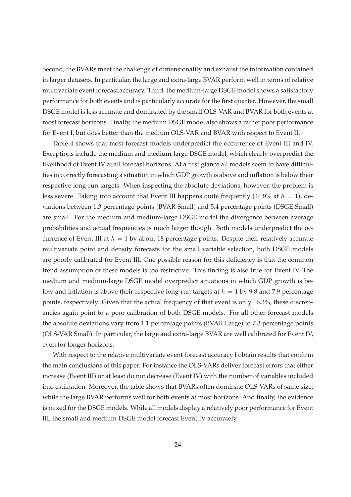Second, the BVARs meet the challenge of dimensionality and exhaust the information contained in larger datasets. In particular, the large and extra-large BVAR perform well in terms of relative multivariate event forecast accuracy. Third, the medium-large DSGE model shows a satisfactory performance for both events and is particularly accurate for the first quarter. However, the small DSGE model is less accurate and dominated by the small OLS-VAR and BVAR for both events at most forecast horizons. Finally, the medium DSGE model also shows a rather poor performance for Event I, but does better than the medium OLS-VAR and BVAR with respect to Event II.

Table 4 shows that most forecast models underpredict the occurrence of Event III and IV. Exceptions include the medium and medium-large DSGE model, which clearly overpredict the likelihood of Event IV at all forecast horizons. At a first glance all models seem to have difficulties in correctly forecasting a situation in which GDP growth is above and inflation is below their respective long-run targets. When inspecting the absolute deviations, however, the problem is less severe. Taking into account that Event III happens quite frequently (44.9% at  $h = 1$ ), deviations between 1.3 percentage points (BVAR Small) and 5.4 percentage points (DSGE Small) are small. For the medium and medium-large DSGE model the divergence between average probabilities and actual frequencies is much larger though. Both models underpredict the occurrence of Event III at  $h = 1$  by about 18 percentage points. Despite their relatively accurate multivariate point and density forecasts for the small variable selection, both DSGE models are poorly calibrated for Event III. One possible reason for this deficiency is that the common trend assumption of these models is too restrictive. This finding is also true for Event IV. The medium and medium-large DSGE model overpredict situations in which GDP growth is below and inflation is above their respective long-run targets at  $h = 1$  by 9.8 and 7.9 percentage points, respectively. Given that the actual frequency of that event is only 16.3%, these discrepancies again point to a poor calibration of both DSGE models. For all other forecast models the absolute deviations vary from 1.1 percentage points (BVAR Large) to 7.3 percentage points (OLS-VAR Small). In particular, the large and extra-large BVAR are well calibrated for Event IV, even for longer horizons.

With respect to the relative multivariate event forecast accuracy I obtain results that confirm the main conclusions of this paper. For instance the OLS-VARs deliver forecast errors that either increase (Event III) or at least do not decrease (Event IV) with the number of variables included into estimation. Moreover, the table shows that BVARs often dominate OLS-VARs of same size, while the large BVAR performs well for both events at most horizons. And finally, the evidence is mixed for the DSGE models. While all models display a relatively poor performance for Event III, the small and medium DSGE model forecast Event IV accurately.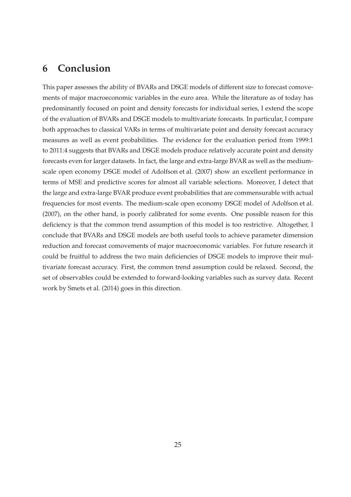### **6 Conclusion**

This paper assesses the ability of BVARs and DSGE models of different size to forecast comovements of major macroeconomic variables in the euro area. While the literature as of today has predominantly focused on point and density forecasts for individual series, I extend the scope of the evaluation of BVARs and DSGE models to multivariate forecasts. In particular, I compare both approaches to classical VARs in terms of multivariate point and density forecast accuracy measures as well as event probabilities. The evidence for the evaluation period from 1999:1 to 2011:4 suggests that BVARs and DSGE models produce relatively accurate point and density forecasts even for larger datasets. In fact, the large and extra-large BVAR as well as the mediumscale open economy DSGE model of Adolfson et al. (2007) show an excellent performance in terms of MSE and predictive scores for almost all variable selections. Moreover, I detect that the large and extra-large BVAR produce event probabilities that are commensurable with actual frequencies for most events. The medium-scale open economy DSGE model of Adolfson et al. (2007), on the other hand, is poorly calibrated for some events. One possible reason for this deficiency is that the common trend assumption of this model is too restrictive. Altogether, I conclude that BVARs and DSGE models are both useful tools to achieve parameter dimension reduction and forecast comovements of major macroeconomic variables. For future research it could be fruitful to address the two main deficiencies of DSGE models to improve their multivariate forecast accuracy. First, the common trend assumption could be relaxed. Second, the set of observables could be extended to forward-looking variables such as survey data. Recent work by Smets et al. (2014) goes in this direction.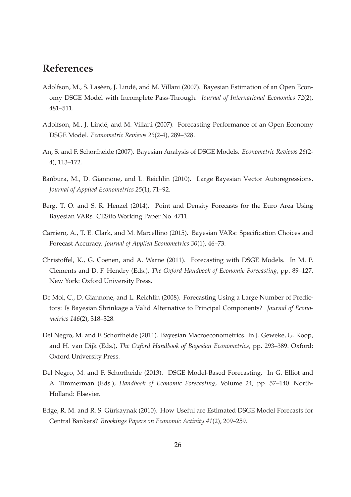### **References**

- Adolfson, M., S. Laséen, J. Lindé, and M. Villani (2007). Bayesian Estimation of an Open Economy DSGE Model with Incomplete Pass-Through. *Journal of International Economics 72*(2), 481–511.
- Adolfson, M., J. Lindé, and M. Villani (2007). Forecasting Performance of an Open Economy DSGE Model. *Econometric Reviews 26*(2-4), 289–328.
- An, S. and F. Schorfheide (2007). Bayesian Analysis of DSGE Models. *Econometric Reviews 26*(2- 4), 113–172.
- Bańbura, M., D. Giannone, and L. Reichlin (2010). Large Bayesian Vector Autoregressions. *Journal of Applied Econometrics 25*(1), 71–92.
- Berg, T. O. and S. R. Henzel (2014). Point and Density Forecasts for the Euro Area Using Bayesian VARs. CESifo Working Paper No. 4711.
- Carriero, A., T. E. Clark, and M. Marcellino (2015). Bayesian VARs: Specification Choices and Forecast Accuracy. *Journal of Applied Econometrics 30*(1), 46–73.
- Christoffel, K., G. Coenen, and A. Warne (2011). Forecasting with DSGE Models. In M. P. Clements and D. F. Hendry (Eds.), *The Oxford Handbook of Economic Forecasting*, pp. 89–127. New York: Oxford University Press.
- De Mol, C., D. Giannone, and L. Reichlin (2008). Forecasting Using a Large Number of Predictors: Is Bayesian Shrinkage a Valid Alternative to Principal Components? *Journal of Econometrics 146*(2), 318–328.
- Del Negro, M. and F. Schorfheide (2011). Bayesian Macroeconometrics. In J. Geweke, G. Koop, and H. van Dijk (Eds.), *The Oxford Handbook of Bayesian Econometrics*, pp. 293–389. Oxford: Oxford University Press.
- Del Negro, M. and F. Schorfheide (2013). DSGE Model-Based Forecasting. In G. Elliot and A. Timmerman (Eds.), *Handbook of Economic Forecasting*, Volume 24, pp. 57–140. North-Holland: Elsevier.
- Edge, R. M. and R. S. Gürkaynak (2010). How Useful are Estimated DSGE Model Forecasts for Central Bankers? *Brookings Papers on Economic Activity 41*(2), 209–259.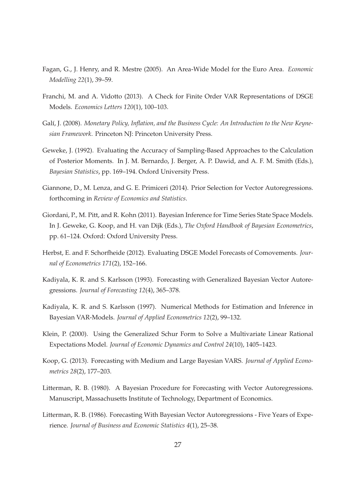- Fagan, G., J. Henry, and R. Mestre (2005). An Area-Wide Model for the Euro Area. *Economic Modelling 22*(1), 39–59.
- Franchi, M. and A. Vidotto (2013). A Check for Finite Order VAR Representations of DSGE Models. *Economics Letters 120*(1), 100–103.
- Galí, J. (2008). *Monetary Policy, Inflation, and the Business Cycle: An Introduction to the New Keynesian Framework*. Princeton NJ: Princeton University Press.
- Geweke, J. (1992). Evaluating the Accuracy of Sampling-Based Approaches to the Calculation of Posterior Moments. In J. M. Bernardo, J. Berger, A. P. Dawid, and A. F. M. Smith (Eds.), *Bayesian Statistics*, pp. 169–194. Oxford University Press.
- Giannone, D., M. Lenza, and G. E. Primiceri (2014). Prior Selection for Vector Autoregressions. forthcoming in *Review of Economics and Statistics*.
- Giordani, P., M. Pitt, and R. Kohn (2011). Bayesian Inference for Time Series State Space Models. In J. Geweke, G. Koop, and H. van Dijk (Eds.), *The Oxford Handbook of Bayesian Econometrics*, pp. 61–124. Oxford: Oxford University Press.
- Herbst, E. and F. Schorfheide (2012). Evaluating DSGE Model Forecasts of Comovements. *Journal of Econometrics 171*(2), 152–166.
- Kadiyala, K. R. and S. Karlsson (1993). Forecasting with Generalized Bayesian Vector Autoregressions. *Journal of Forecasting 12*(4), 365–378.
- Kadiyala, K. R. and S. Karlsson (1997). Numerical Methods for Estimation and Inference in Bayesian VAR-Models. *Journal of Applied Econometrics 12*(2), 99–132.
- Klein, P. (2000). Using the Generalized Schur Form to Solve a Multivariate Linear Rational Expectations Model. *Journal of Economic Dynamics and Control 24*(10), 1405–1423.
- Koop, G. (2013). Forecasting with Medium and Large Bayesian VARS. *Journal of Applied Econometrics 28*(2), 177–203.
- Litterman, R. B. (1980). A Bayesian Procedure for Forecasting with Vector Autoregressions. Manuscript, Massachusetts Institute of Technology, Department of Economics.
- Litterman, R. B. (1986). Forecasting With Bayesian Vector Autoregressions Five Years of Experience. *Journal of Business and Economic Statistics 4*(1), 25–38.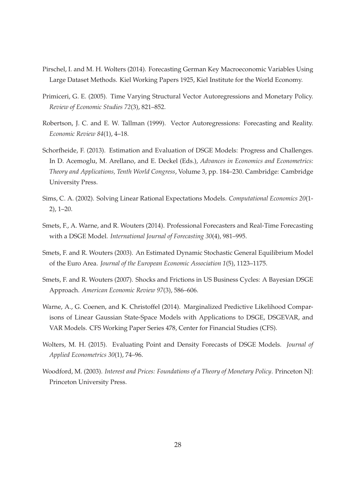- Pirschel, I. and M. H. Wolters (2014). Forecasting German Key Macroeconomic Variables Using Large Dataset Methods. Kiel Working Papers 1925, Kiel Institute for the World Economy.
- Primiceri, G. E. (2005). Time Varying Structural Vector Autoregressions and Monetary Policy. *Review of Economic Studies 72*(3), 821–852.
- Robertson, J. C. and E. W. Tallman (1999). Vector Autoregressions: Forecasting and Reality. *Economic Review 84*(1), 4–18.
- Schorfheide, F. (2013). Estimation and Evaluation of DSGE Models: Progress and Challenges. In D. Acemoglu, M. Arellano, and E. Deckel (Eds.), *Advances in Economics and Econometrics: Theory and Applications, Tenth World Congress*, Volume 3, pp. 184–230. Cambridge: Cambridge University Press.
- Sims, C. A. (2002). Solving Linear Rational Expectations Models. *Computational Economics 20*(1- 2), 1–20.
- Smets, F., A. Warne, and R. Wouters (2014). Professional Forecasters and Real-Time Forecasting with a DSGE Model. *International Journal of Forecasting 30*(4), 981–995.
- Smets, F. and R. Wouters (2003). An Estimated Dynamic Stochastic General Equilibrium Model of the Euro Area. *Journal of the European Economic Association 1*(5), 1123–1175.
- Smets, F. and R. Wouters (2007). Shocks and Frictions in US Business Cycles: A Bayesian DSGE Approach. *American Economic Review 97*(3), 586–606.
- Warne, A., G. Coenen, and K. Christoffel (2014). Marginalized Predictive Likelihood Comparisons of Linear Gaussian State-Space Models with Applications to DSGE, DSGEVAR, and VAR Models. CFS Working Paper Series 478, Center for Financial Studies (CFS).
- Wolters, M. H. (2015). Evaluating Point and Density Forecasts of DSGE Models. *Journal of Applied Econometrics 30*(1), 74–96.
- Woodford, M. (2003). *Interest and Prices: Foundations of a Theory of Monetary Policy*. Princeton NJ: Princeton University Press.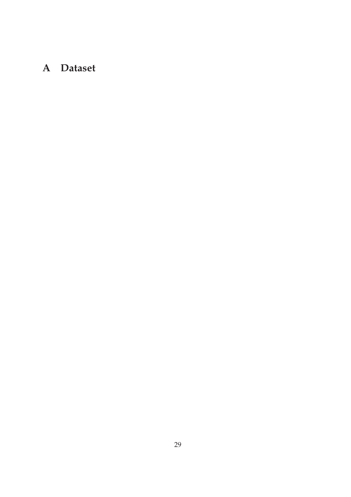# **A Dataset**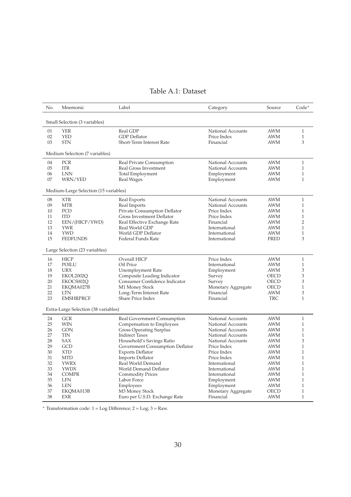### Table A.1: Dataset

| No.      | Mnemonic                              | Label                           | Category           | Source                   | $Code*$                      |  |  |
|----------|---------------------------------------|---------------------------------|--------------------|--------------------------|------------------------------|--|--|
|          | Small Selection (3 variables)         |                                 |                    |                          |                              |  |  |
| 01       | <b>YER</b>                            | Real GDP                        | National Accounts  | <b>AWM</b>               | $\mathbf{1}$                 |  |  |
| 02       | <b>YED</b>                            | <b>GDP</b> Deflator             | Price Index        | <b>AWM</b>               | $\mathbf{1}$                 |  |  |
| 03       | <b>STN</b>                            | Short-Term Interest Rate        | Financial          | <b>AWM</b>               | 3                            |  |  |
|          |                                       |                                 |                    |                          |                              |  |  |
|          | Medium Selection (7 variables)        |                                 |                    |                          |                              |  |  |
| 04       | PCR                                   | Real Private Consumption        | National Accounts  | <b>AWM</b>               | $\mathbf{1}$                 |  |  |
| 05       | <b>ITR</b>                            | Real Gross Investment           | National Accounts  | <b>AWM</b>               | $\mathbf{1}$                 |  |  |
| 06       | <b>LNN</b>                            | <b>Total Employment</b>         | Employment         | <b>AWM</b>               | $\mathbf{1}$                 |  |  |
| 07       | WRN/YED                               | Real Wages                      | Employment         | AWM                      | 1                            |  |  |
|          | Medium-Large Selection (15 variables) |                                 |                    |                          |                              |  |  |
|          |                                       |                                 |                    |                          |                              |  |  |
| 08<br>09 | <b>XTR</b><br><b>MTR</b>              | Real Exports                    | National Accounts  | <b>AWM</b><br><b>AWM</b> | $\mathbf{1}$<br>$\mathbf{1}$ |  |  |
|          |                                       | Real Imports                    | National Accounts  |                          |                              |  |  |
| 10       | PCD                                   | Private Consumption Deflator    | Price Index        | <b>AWM</b>               | $\mathbf{1}$                 |  |  |
| 11       | <b>ITD</b>                            | Gross Investment Deflator       | Price Index        | <b>AWM</b>               | $\mathbf{1}$                 |  |  |
| 12       | EEN/(HICP/YWD)                        | Real Effective Exchange Rate    | Financial          | <b>AWM</b>               | $\overline{2}$               |  |  |
| 13       | <b>YWR</b>                            | Real World GDP                  | International      | <b>AWM</b>               | $\mathbf{1}$                 |  |  |
| 14       | <b>YWD</b>                            | World GDP Deflator              | International      | <b>AWM</b>               | $\mathbf{1}$                 |  |  |
| 15       | <b>FEDFUNDS</b>                       | Federal Funds Rate              | International      | <b>FRED</b>              | 3                            |  |  |
|          | Large Selection (23 variables)        |                                 |                    |                          |                              |  |  |
| 16       | <b>HICP</b>                           | Overall HICP                    | Price Index        | <b>AWM</b>               | $\mathbf{1}$                 |  |  |
| 17       | POILU                                 | Oil Price                       | International      | <b>AWM</b>               | $\mathbf{1}$                 |  |  |
| 18       | <b>URX</b>                            | Unemployment Rate               | Employment         | <b>AWM</b>               | 3                            |  |  |
| 19       | EKOL2002Q                             | Composite Leading Indicator     | Survey             | <b>OECD</b>              | 3                            |  |  |
| 20       | EKOCS002Q                             | Consumer Confidence Indicator   | Survey             | <b>OECD</b>              | 3                            |  |  |
| 21       | EKQMA027B                             | M1 Money Stock                  | Monetary Aggregate | <b>OECD</b>              | $\mathbf{1}$                 |  |  |
| 22       | <b>LTN</b>                            | Long-Term Interest Rate         | Financial          | <b>AWM</b>               | 3                            |  |  |
| 23       | <b>EMSHRPRCF</b>                      | Share Price Index               | Financial          | <b>TRC</b>               | $\mathbf{1}$                 |  |  |
|          |                                       |                                 |                    |                          |                              |  |  |
|          | Extra-Large Selection (38 variables)  |                                 |                    |                          |                              |  |  |
| 24       | <b>GCR</b>                            | Real Government Consumption     | National Accounts  | <b>AWM</b>               | $\mathbf{1}$                 |  |  |
| 25       | <b>WIN</b>                            | Compensation to Employees       | National Accounts  | <b>AWM</b>               | $\mathbf{1}$                 |  |  |
| 26       | <b>GON</b>                            | Gross Operating Surplus         | National Accounts  | <b>AWM</b>               | $\mathbf{1}$                 |  |  |
| 27       | <b>TIN</b>                            | <b>Indirect Taxes</b>           | National Accounts  | <b>AWM</b>               | $\mathbf{1}$                 |  |  |
| 28       | <b>SAX</b>                            | Household's Savings Ratio       | National Accounts  | <b>AWM</b>               | 3                            |  |  |
| 29       | GCD                                   | Government Consumption Deflator | Price Index        | AWM                      | $\mathbf{1}$                 |  |  |
| 30       | <b>XTD</b>                            | <b>Exports Deflator</b>         | Price Index        | <b>AWM</b>               | $\mathbf{1}$                 |  |  |
| 31       | <b>MTD</b>                            | <b>Imports Deflator</b>         | Price Index        | <b>AWM</b>               | $\mathbf{1}$                 |  |  |
| 32       | <b>YWRX</b>                           | Real World Demand               | International      | <b>AWM</b>               | $\mathbf{1}$                 |  |  |
| 33       | <b>YWDX</b>                           | World Demand Deflator           | International      | <b>AWM</b>               | $\mathbf{1}$                 |  |  |
| 34       | <b>COMPR</b>                          | <b>Commodity Prices</b>         | International      | <b>AWM</b>               | $\mathbf{1}$                 |  |  |
| 35       | <b>LFN</b>                            |                                 |                    | <b>AWM</b>               | $\mathbf{1}$                 |  |  |
|          |                                       | Labor Force                     | Employment         |                          |                              |  |  |
| 36       | <b>LEN</b>                            | Employees                       | Employment         | <b>AWM</b>               | $\mathbf{1}$                 |  |  |
| 37       | EKQMA013B                             | M <sub>3</sub> Money Stock      | Monetary Aggregate | <b>OECD</b>              | $\mathbf{1}$                 |  |  |
| 38       | <b>EXR</b>                            | Euro per U.S.D. Exchange Rate   | Financial          | <b>AWM</b>               | $\mathbf{1}$                 |  |  |

<sup>∗</sup> Transformation code: 1 = Log Difference; 2 = Log; 3 = Raw.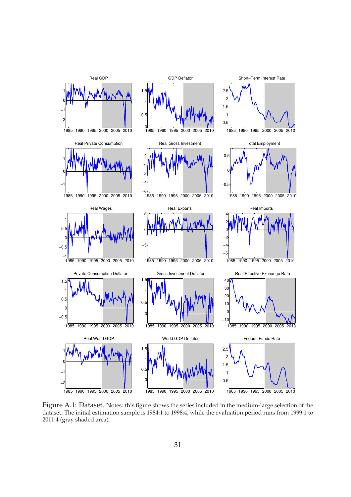

Figure A.1: Dataset. Notes: this figure shows the series included in the medium-large selection of the dataset. The initial estimation sample is 1984:1 to 1998:4, while the evaluation period runs from 1999:1 to 2011:4 (gray shaded area).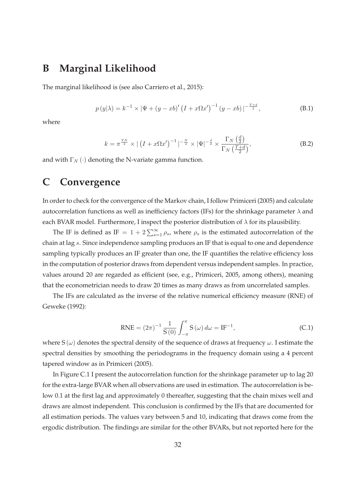### **B Marginal Likelihood**

The marginal likelihood is (see also Carriero et al., 2015):

$$
p(y|\lambda) = k^{-1} \times |\Psi + (y - xb)' (I + x\Omega x')^{-1} (y - xb)|^{-\frac{T+d}{2}},
$$
\n(B.1)

where

$$
k = \pi^{\frac{TN}{2}} \times \left| \left( I + x \Omega x' \right)^{-1} \right|^{-\frac{N}{2}} \times \left| \Psi \right|^{-\frac{d}{2}} \times \frac{\Gamma_N \left( \frac{d}{2} \right)}{\Gamma_N \left( \frac{T+d}{2} \right)},\tag{B.2}
$$

and with  $\Gamma_N(\cdot)$  denoting the N-variate gamma function.

## **C Convergence**

In order to check for the convergence of the Markov chain, I follow Primiceri (2005) and calculate autocorrelation functions as well as inefficiency factors (IFs) for the shrinkage parameter  $\lambda$  and each BVAR model. Furthermore, I inspect the posterior distribution of  $\lambda$  for its plausibility.

The IF is defined as IF =  $1 + 2 \sum_{s=1}^{\infty} \rho_s$ , where  $\rho_s$  is the estimated autocorrelation of the chain at lag s. Since independence sampling produces an IF that is equal to one and dependence sampling typically produces an IF greater than one, the IF quantifies the relative efficiency loss in the computation of posterior draws from dependent versus independent samples. In practice, values around 20 are regarded as efficient (see, e.g., Primiceri, 2005, among others), meaning that the econometrician needs to draw 20 times as many draws as from uncorrelated samples.

The IFs are calculated as the inverse of the relative numerical efficiency measure (RNE) of Geweke (1992):

RNE = 
$$
(2\pi)^{-1} \frac{1}{S(0)} \int_{-\pi}^{\pi} S(\omega) d\omega = IF^{-1}
$$
, (C.1)

where  $S(\omega)$  denotes the spectral density of the sequence of draws at frequency  $\omega$ . I estimate the spectral densities by smoothing the periodograms in the frequency domain using a 4 percent tapered window as in Primiceri (2005).

In Figure C.1 I present the autocorrelation function for the shrinkage parameter up to lag 20 for the extra-large BVAR when all observations are used in estimation. The autocorrelation is below 0.1 at the first lag and approximately 0 thereafter, suggesting that the chain mixes well and draws are almost independent. This conclusion is confirmed by the IFs that are documented for all estimation periods. The values vary between 5 and 10, indicating that draws come from the ergodic distribution. The findings are similar for the other BVARs, but not reported here for the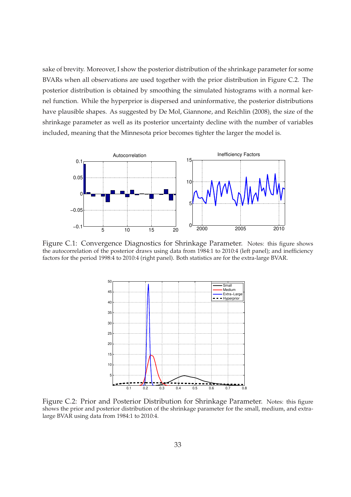sake of brevity. Moreover, I show the posterior distribution of the shrinkage parameter for some BVARs when all observations are used together with the prior distribution in Figure C.2. The posterior distribution is obtained by smoothing the simulated histograms with a normal kernel function. While the hyperprior is dispersed and uninformative, the posterior distributions have plausible shapes. As suggested by De Mol, Giannone, and Reichlin (2008), the size of the shrinkage parameter as well as its posterior uncertainty decline with the number of variables included, meaning that the Minnesota prior becomes tighter the larger the model is.



Figure C.1: Convergence Diagnostics for Shrinkage Parameter. Notes: this figure shows the autocorrelation of the posterior draws using data from 1984:1 to 2010:4 (left panel); and inefficiency factors for the period 1998:4 to 2010:4 (right panel). Both statistics are for the extra-large BVAR.



Figure C.2: Prior and Posterior Distribution for Shrinkage Parameter. Notes: this figure shows the prior and posterior distribution of the shrinkage parameter for the small, medium, and extralarge BVAR using data from 1984:1 to 2010:4.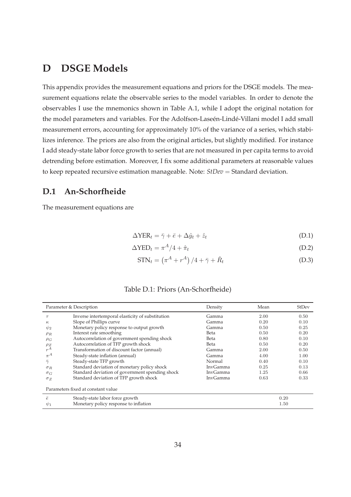### **D DSGE Models**

This appendix provides the measurement equations and priors for the DSGE models. The measurement equations relate the observable series to the model variables. In order to denote the observables I use the mnemonics shown in Table A.1, while I adopt the original notation for the model parameters and variables. For the Adolfson-Laseén-Lindé-Villani model I add small measurement errors, accounting for approximately 10% of the variance of a series, which stabilizes inference. The priors are also from the original articles, but slightly modified. For instance I add steady-state labor force growth to series that are not measured in per capita terms to avoid detrending before estimation. Moreover, I fix some additional parameters at reasonable values to keep repeated recursive estimation manageable. Note: *StDev* = Standard deviation.

### **D.1 An-Schorfheide**

The measurement equations are

$$
\Delta YER_t = \bar{\gamma} + \bar{e} + \Delta \hat{y}_t + \hat{z}_t \tag{D.1}
$$

$$
\Delta YED_t = \pi^A/4 + \hat{\pi}_t \tag{D.2}
$$

$$
STN_t = \left(\pi^A + r^A\right)/4 + \bar{\gamma} + \hat{R}_t
$$
\n(D.3)

#### Table D.1: Priors (An-Schorfheide)

| Parameter & Description |                                                  | Density         | Mean | StDev |
|-------------------------|--------------------------------------------------|-----------------|------|-------|
| $\tau$                  | Inverse intertemporal elasticity of substitution | Gamma           | 2.00 | 0.50  |
| $\kappa$                | Slope of Phillips curve                          | Gamma           | 0.20 | 0.10  |
| $\psi_2$                | Monetary policy response to output growth        | Gamma           | 0.50 | 0.25  |
| $\rho_R$                | Interest rate smoothing                          | Beta            | 0.50 | 0.20  |
| $\rho_G$                | Autocorrelation of government spending shock     | Beta            | 0.80 | 0.10  |
| $\rho_Z$                | Autocorrelation of TFP growth shock              | Beta            | 0.50 | 0.20  |
| $r^A$                   | Transformation of discount factor (annual)       | Gamma           | 2.00 | 0.50  |
| $\pi^A$                 | Steady-state inflation (annual)                  | Gamma           | 4.00 | 1.00  |
| $\bar{\gamma}$          | Steady-state TFP growth                          | Normal          | 0.40 | 0.10  |
| $\sigma_R$              | Standard deviation of monetary policy shock      | <b>InvGamma</b> | 0.25 | 0.13  |
| $\sigma_G$              | Standard deviation of government spending shock  | InvGamma        | 1.25 | 0.66  |
| $\sigma_Z$              | Standard deviation of TFP growth shock           | InvGamma        | 0.63 | 0.33  |
|                         | Parameters fixed at constant value               |                 |      |       |
| $\bar{e}$               | Steady-state labor force growth                  |                 |      | 0.20  |
| $\psi_1$                | Monetary policy response to inflation            |                 |      | 1.50  |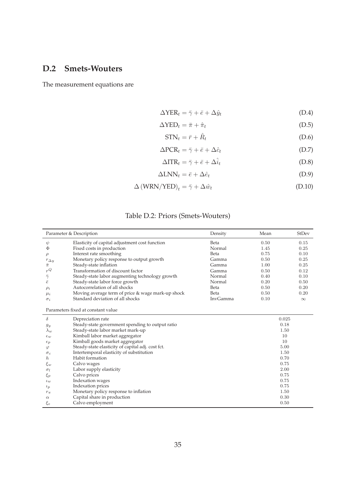### **D.2 Smets-Wouters**

The measurement equations are

$$
\Delta YER_t = \bar{\gamma} + \bar{e} + \Delta \hat{y}_t \tag{D.4}
$$

$$
\Delta YED_t = \bar{\pi} + \hat{\pi}_t \tag{D.5}
$$

$$
STN_t = \bar{r} + \hat{R}_t \tag{D.6}
$$

$$
\Delta PCR_t = \bar{\gamma} + \bar{e} + \Delta \hat{c}_t \tag{D.7}
$$

$$
\Delta \text{ITR}_t = \bar{\gamma} + \bar{e} + \Delta \hat{i}_t \tag{D.8}
$$

$$
\Delta \text{LNN}_t = \bar{e} + \Delta \hat{e}_t \tag{D.9}
$$

$$
\Delta (WRN/YED)_t = \bar{\gamma} + \Delta \hat{w}_t \tag{D.10}
$$

### Table D.2: Priors (Smets-Wouters)

|                | Parameter & Description                           | Density         | Mean | StDev    |
|----------------|---------------------------------------------------|-----------------|------|----------|
| $\psi$         | Elasticity of capital adjustment cost function    | Beta            | 0.50 | 0.15     |
| Ф              | Fixed costs in production                         | Normal          | 1.45 | 0.25     |
| $\rho$         | Interest rate smoothing                           | Beta            | 0.75 | 0.10     |
| $r_{\Delta y}$ | Monetary policy response to output growth         | Gamma           | 0.50 | 0.25     |
| $\bar{\pi}$    | Steady-state inflation                            | Gamma           | 1.00 | 0.25     |
| $r^Q$          | Transformation of discount factor                 | Gamma           | 0.50 | 0.12     |
| $\bar{\gamma}$ | Steady-state labor augmenting technology growth   | Normal          | 0.40 | 0.10     |
| $\bar{e}$      | Steady-state labor force growth                   | Normal          | 0.20 | 0.50     |
| $\rho_i$       | Autocorrelation of all shocks                     | Beta            | 0.50 | 0.20     |
| $\mu_i$        | Moving average term of price & wage mark-up shock | Beta            | 0.50 | 0.20     |
| $\sigma_i$     | Standard deviation of all shocks                  | <b>InvGamma</b> | 0.10 | $\infty$ |
|                | Parameters fixed at constant value                |                 |      |          |
| $\delta$       | Depreciation rate                                 |                 |      | 0.025    |
| $g_y$          | Steady-state government spending to output ratio  |                 |      | 0.18     |
| $\lambda_w$    | Steady-state labor market mark-up                 |                 |      | 1.50     |
| $\epsilon_w$   | Kimball labor market aggregator                   |                 |      | 10       |
| $\epsilon_p$   | Kimball goods market aggregator                   |                 |      | 10       |
| $\varphi$      | Steady-state elasticity of capital adj. cost fct. |                 |      | 5.00     |
| $\sigma_c$     | Intertemporal elasticity of substitution          |                 |      | 1.50     |
| $\hbar$        | Habit formation                                   |                 |      | 0.70     |
| $\xi_w$        | Calvo wages                                       |                 |      | 0.75     |
| $\sigma_l$     | Labor supply elasticity                           |                 |      | 2.00     |
| $\xi_p$        | Calvo prices                                      |                 |      | 0.75     |
| $\iota_w$      | Indexation wages                                  |                 |      | 0.75     |
| $\iota_p$      | Indexation prices                                 |                 |      | 0.75     |
| $r_{\pi}$      | Monetary policy response to inflation             |                 |      | 1.50     |
| $\alpha$       | Capital share in production                       |                 |      | 0.30     |
| $\xi_e$        | Calvo employment                                  |                 |      | 0.50     |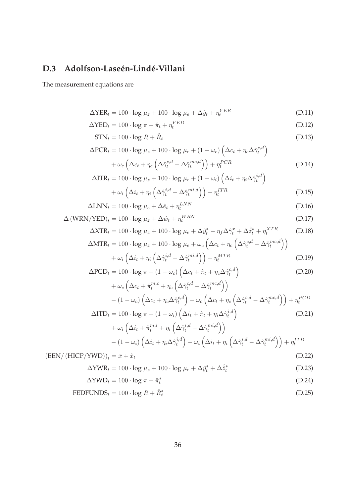### **D.3 Adolfson-Laseén-Lindé-Villani**

The measurement equations are

$$
\Delta YER_t = 100 \cdot \log \mu_z + 100 \cdot \log \mu_e + \Delta \hat{y}_t + \eta_t^{YER}
$$
 (D.11)

$$
\Delta YED_t = 100 \cdot \log \pi + \hat{\pi}_t + \eta_t^{YED}
$$
\n(D.12)

$$
STN_t = 100 \cdot \log R + \hat{R}_t \tag{D.13}
$$

$$
\Delta PCR_t = 100 \cdot \log \mu_z + 100 \cdot \log \mu_e + (1 - \omega_c) \left( \Delta c_t + \eta_c \Delta \hat{\gamma}_t^{c,d} \right) + \omega_c \left( \Delta c_t + \eta_c \left( \Delta \hat{\gamma}_t^{c,d} - \Delta \hat{\gamma}_t^{mc,d} \right) \right) + \eta_t^{PCR}
$$
 (D.14)

$$
\Delta \text{ITR}_t = 100 \cdot \log \mu_z + 100 \cdot \log \mu_e + (1 - \omega_i) \left( \Delta i_t + \eta_i \Delta \hat{\gamma}_t^{i,d} \right)
$$

$$
+ \omega_i \left( \Delta i_t + \eta_i \left( \Delta \hat{\gamma}_t^{i,d} - \Delta \hat{\gamma}_t^{mi,d} \right) \right) + \eta_t^{ITR}
$$
\n(D.15)

$$
\Delta LNN_t = 100 \cdot \log \mu_e + \Delta \hat{e}_t + \eta_t^{LNN}
$$
\n(D.16)

$$
\Delta (WRN/YED)_t = 100 \cdot \log \mu_z + \Delta \hat{w}_t + \eta_t^{WRN}
$$
\n(D.17)

$$
\Delta XTR_t = 100 \cdot \log \mu_z + 100 \cdot \log \mu_e + \Delta \hat{y}_t^* - \eta_f \Delta \hat{\gamma}_t^x + \Delta \hat{\tilde{z}}_t^* + \eta_t^{XTR}
$$
 (D.18)

$$
\Delta \text{MTR}_t = 100 \cdot \log \mu_z + 100 \cdot \log \mu_e + \omega_c \left( \Delta c_t + \eta_c \left( \Delta \hat{\gamma}_t^{c,d} - \Delta \hat{\gamma}_t^{mc,d} \right) \right)
$$

$$
+ \omega_i \left( \Delta i_t + \eta_i \left( \Delta \hat{\gamma}_t^{i,d} - \Delta \hat{\gamma}_t^{mi,d} \right) \right) + \eta_t^{MTR}
$$
\n(D.19)

$$
\Delta \text{PCD}_t = 100 \cdot \log \pi + (1 - \omega_c) \left( \Delta c_t + \hat{\pi}_t + \eta_c \Delta \hat{\gamma}_t^{c,d} \right)
$$
 (D.20)

$$
+ \omega_c \left( \Delta c_t + \hat{\pi}_t^{m,c} + \eta_c \left( \Delta \hat{\gamma}_t^{c,d} - \Delta \hat{\gamma}_t^{mc,d} \right) \right)
$$

$$
- (1 - \omega_c) \left( \Delta c_t + \eta_c \Delta \hat{\gamma}_t^{c,d} \right) - \omega_c \left( \Delta c_t + \eta_c \left( \Delta \hat{\gamma}_t^{c,d} - \Delta \hat{\gamma}_t^{mc,d} \right) \right) + \eta_t^{PCD}
$$
  
D = 100, log  $\pi$  + (1 -  $\omega$ )  $\left( \Delta i_t + \hat{\pi}_t + m_t \Delta \hat{\gamma}_t^{i,d} \right)$  (D.21)

$$
\Delta \text{ITD}_t = 100 \cdot \log \pi + (1 - \omega_i) \left( \Delta i_t + \hat{\pi}_t + \eta_i \Delta \hat{\gamma}_t^{i,d} \right)
$$
\n
$$
+ \omega_i \left( \Delta i_t + \hat{\pi}_t^{m,i} + \eta_i \left( \Delta \hat{\gamma}_t^{i,d} - \Delta \hat{\gamma}_t^{m,i,d} \right) \right)
$$
\n(D.21)

+ 
$$
\omega_i \left( \Delta i_t + \hat{\pi}_t^{m,t} + \eta_i \left( \Delta \hat{\gamma}_t^{i,a} - \Delta \hat{\gamma}_t^{m,t,a} \right) \right)
$$
  
 -  $(1 - \omega_i) \left( \Delta i_t + \eta_i \Delta \hat{\gamma}_t^{i,d} \right) - \omega_i \left( \Delta i_t + \eta_i \left( \Delta \hat{\gamma}_t^{i,d} - \Delta \hat{\gamma}_t^{m,i,d} \right) \right) + \eta_t^{ITD}$ 

$$
\left(\text{EEN}/\left(\text{HICP}/\text{YWD}\right)\right)_t = \bar{x} + \hat{x}_t \tag{D.22}
$$

$$
\Delta \text{YWR}_t = 100 \cdot \log \mu_z + 100 \cdot \log \mu_e + \Delta \hat{y}_t^* + \Delta \hat{\tilde{z}}_t^* \tag{D.23}
$$

$$
\Delta \text{YWD}_t = 100 \cdot \log \pi + \hat{\pi}_t^* \tag{D.24}
$$

$$
\text{FEDFUNDS}_{t} = 100 \cdot \log R + \hat{R}_{t}^{*} \tag{D.25}
$$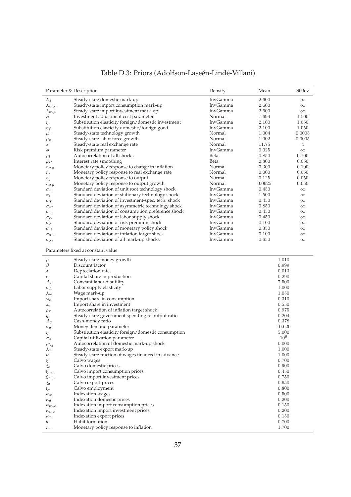|                           | Parameter & Description                                                                                 | Density              | Mean           | StDev                |
|---------------------------|---------------------------------------------------------------------------------------------------------|----------------------|----------------|----------------------|
| $\lambda_d$               | Steady-state domestic mark-up                                                                           | InvGamma             | 2.600          | $\infty$             |
| $\lambda_{m,c}$           | Steady-state import consumption mark-up                                                                 | InvGamma             | 2.600          | $\infty$             |
| $\lambda_{m,i}$           | Steady-state import investment mark-up                                                                  | InvGamma             | 2.600          | $\infty$             |
| S                         | Investment adjustment cost parameter                                                                    | Normal               | 7.694          | 1.500                |
| $\eta_i$                  | Substitution elasticity foreign/domestic investment                                                     | InvGamma             | 2.100          | 1.050                |
| $\eta_f$                  | Substitution elasticity domestic/foreign good                                                           | InvGamma             | 2.100          | 1.050                |
| $\mu_z$                   | Steady-state technology growth                                                                          | Normal               | 1.004          | 0.0005               |
| $\mu_e$                   | Steady-state labor force growth                                                                         | Normal               | 1.002          | 0.0005               |
| $\bar{x}$                 | Steady-state real exchange rate                                                                         | Normal               | 11.75          | 4                    |
| Φ                         | Risk premium parameter                                                                                  | InvGamma             | 0.025          | $\infty$             |
| $\rho_i$                  | Autocorrelation of all shocks                                                                           | Beta                 | 0.850          | 0.100                |
| $\rho_R$                  | Interest rate smoothing                                                                                 | Beta                 | 0.800          | 0.050                |
| $r_{\Delta \pi}$          | Monetary policy response to change in inflation                                                         | Normal               | 0.300          | 0.100                |
| $r_x$                     | Monetary policy response to real exchange rate                                                          | Normal               | 0.000          | 0.050                |
| $r_y$                     | Monetary policy response to output                                                                      | Normal<br>Normal     | 0.125          | 0.050                |
| $r_{\Delta y}$            | Monetary policy response to output growth                                                               |                      | 0.0625         | 0.050                |
| $\sigma_z$                | Standard deviation of unit root technology shock                                                        | InvGamma             | 0.450          | $\infty$             |
| $\sigma_{\epsilon}$       | Standard deviation of stationary technology shock<br>Standard deviation of investment-spec. tech. shock | InvGamma<br>InvGamma | 1.500<br>0.450 | $\infty$             |
| $\sigma_{\Upsilon}$       | Standard deviation of asymmetric technology shock                                                       | <b>InvGamma</b>      | 0.850          | $\infty$<br>$\infty$ |
| $\sigma_z*$               | Standard deviation of consumption preference shock                                                      | InvGamma             | 0.450          |                      |
| $\sigma_{\varsigma_c}$    | Standard deviation of labor supply shock                                                                | InvGamma             | 0.450          | $\infty$<br>$\infty$ |
| $\sigma_{\varsigma_h}$    | Standard deviation of risk premium shock                                                                | <b>InvGamma</b>      | 0.100          | $\infty$             |
| $\sigma_{\phi}$           | Standard deviation of monetary policy shock                                                             | InvGamma             | 0.350          | $\infty$             |
| $\sigma_R$                | Standard deviation of inflation target shock                                                            | InvGamma             | 0.100          | $\infty$             |
| $\sigma_{\pi^c}$          | Standard deviation of all mark-up shocks                                                                | <b>InvGamma</b>      | 0.650          | $\infty$             |
| $\sigma_{\lambda_i}$      | Parameters fixed at constant value                                                                      |                      |                |                      |
|                           |                                                                                                         |                      |                |                      |
| $\mu$                     | Steady-state money growth                                                                               |                      | 1.010          |                      |
| β<br>δ                    | Discount factor                                                                                         |                      | 0.999<br>0.013 |                      |
|                           | Depreciation rate<br>Capital share in production                                                        |                      | 0.290          |                      |
| $\alpha$                  | Constant labor disutility                                                                               |                      | 7.500          |                      |
| $A_L$                     | Labor supply elasticity                                                                                 |                      | 1.000          |                      |
| $\sigma_L$<br>$\lambda_w$ | Wage mark-up                                                                                            |                      | 1.050          |                      |
| $\omega_c$                | Import share in consumption                                                                             |                      | 0.310          |                      |
| $\omega_i$                | Import share in investment                                                                              |                      | 0.550          |                      |
| $\rho_{\pi}$              | Autocorrelation of inflation target shock                                                               |                      | 0.975          |                      |
| $g_r$                     | Steady-state government spending to output ratio                                                        |                      | 0.204          |                      |
| $A_q$                     | Cash-money ratio                                                                                        |                      | 0.378          |                      |
| $\sigma_q$                | Money demand parameter                                                                                  |                      | 10.620         |                      |
| $\eta_c$                  | Substitution elasticity foreign/domestic consumption                                                    |                      | 5.000          |                      |
| $\sigma_a$                | Capital utilization parameter                                                                           |                      | $10^{6}$       |                      |
| $\rho_{\lambda_d}$        | Autocorrelation of domestic mark-up shock                                                               |                      | 0.000          |                      |
| $\lambda_x$               | Steady-state export mark-up                                                                             |                      | 1.000          |                      |
| $\nu$                     | Steady-state fraction of wages financed in advance                                                      |                      | 1.000          |                      |
| $\xi_w$                   | Calvo wages                                                                                             |                      | 0.700          |                      |
| $\xi_d$                   | Calvo domestic prices                                                                                   |                      | 0.900          |                      |
| $\xi_{m,c}$               | Calvo import consumption prices                                                                         |                      | 0.450          |                      |
| $\xi_{m,i}$               | Calvo import investment prices                                                                          |                      | 0.750          |                      |
| $\xi_x$                   | Calvo export prices                                                                                     |                      | 0.650          |                      |
| $\xi_e$                   | Calvo employment                                                                                        |                      | 0.800          |                      |
| $\kappa_w$                | Indexation wages                                                                                        |                      | 0.500          |                      |
| $\kappa_d$                | Indexation domestic prices                                                                              |                      | 0.200          |                      |
| $\kappa_{m,c}$            | Indexation import consumption prices                                                                    |                      | 0.150          |                      |
| $\kappa_{m,i}$            | Indexation import investment prices                                                                     |                      | 0.200          |                      |
| $\kappa_x$                | Indexation export prices                                                                                |                      | 0.150          |                      |
| b                         | Habit formation                                                                                         |                      | 0.700          |                      |
| $r_{\pi}$                 | Monetary policy response to inflation                                                                   |                      | 1.700          |                      |

## Table D.3: Priors (Adolfson-Laseén-Lindé-Villani)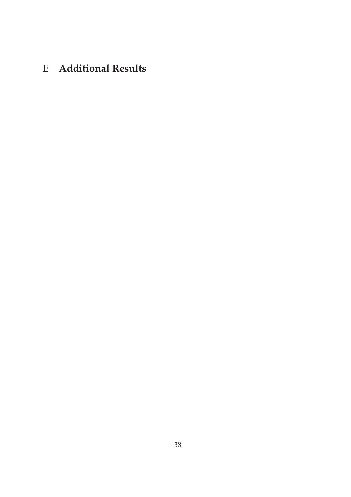# **E Additional Results**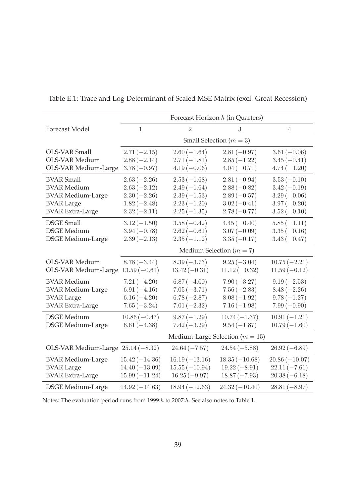|                                                                                                                     |                                                                                   | Forecast Horizon h (in Quarters)                                                  |                                                                                   |                                                                                                              |  |
|---------------------------------------------------------------------------------------------------------------------|-----------------------------------------------------------------------------------|-----------------------------------------------------------------------------------|-----------------------------------------------------------------------------------|--------------------------------------------------------------------------------------------------------------|--|
| <b>Forecast Model</b>                                                                                               | 1                                                                                 | $\overline{2}$                                                                    | 3                                                                                 | $\overline{4}$                                                                                               |  |
|                                                                                                                     | Small Selection ( $m = 3$ )                                                       |                                                                                   |                                                                                   |                                                                                                              |  |
| <b>OLS-VAR Small</b><br><b>OLS-VAR Medium</b><br><b>OLS-VAR Medium-Large</b>                                        | $2.71(-2.15)$<br>$2.88(-2.14)$<br>$3.78(-0.97)$                                   | $2.60(-1.64)$<br>$2.71(-1.81)$<br>$4.19(-0.06)$                                   | $2.81(-0.97)$<br>$2.85(-1.22)$<br>$4.04(-0.71)$                                   | $3.61(-0.06)$<br>$3.45(-0.41)$<br>$4.74(-1.20)$                                                              |  |
| <b>BVAR</b> Small<br><b>BVAR</b> Medium<br><b>BVAR Medium-Large</b><br><b>BVAR Large</b><br><b>BVAR Extra-Large</b> | $2.63(-2.26)$<br>$2.63(-2.12)$<br>$2.30(-2.26)$<br>$1.82(-2.48)$<br>$2.32(-2.11)$ | $2.53(-1.68)$<br>$2.49(-1.64)$<br>$2.39(-1.53)$<br>$2.23(-1.20)$<br>$2.25(-1.35)$ | $2.81(-0.94)$<br>$2.88(-0.82)$<br>$2.89(-0.57)$<br>$3.02(-0.41)$<br>$2.78(-0.77)$ | $3.53(-0.10)$<br>$3.42(-0.19)$<br>3.29 <sub>(</sub><br>0.06)<br>3.97(<br>0.20)<br>3.52 <sub>(</sub><br>0.10) |  |
| <b>DSGE</b> Small<br><b>DSGE</b> Medium<br><b>DSGE</b> Medium-Large                                                 | $3.12(-1.50)$<br>$3.94(-0.78)$<br>$2.39(-2.13)$                                   | $3.58(-0.42)$<br>$2.62(-0.61)$<br>$2.35(-1.12)$                                   | $4.45(-0.40)$<br>$3.07(-0.09)$<br>$3.35(-0.17)$                                   | 5.85(<br>1.11)<br>3.35(<br>0.16)<br>3.43<<br>(0.47)                                                          |  |
|                                                                                                                     |                                                                                   |                                                                                   | Medium Selection ( $m = 7$ )                                                      |                                                                                                              |  |
| <b>OLS-VAR Medium</b><br>OLS-VAR Medium-Large                                                                       | $8.78(-3.44)$<br>$13.59(-0.61)$                                                   | $8.39(-3.73)$<br>$13.42(-0.31)$                                                   | $9.25(-3.04)$<br>$11.12(-0.32)$                                                   | $10.75(-2.21)$<br>$11.59(-0.12)$                                                                             |  |
| <b>BVAR</b> Medium<br><b>BVAR Medium-Large</b><br><b>BVAR Large</b><br><b>BVAR Extra-Large</b>                      | $7.21(-4.20)$<br>$6.91(-4.16)$<br>$6.16(-4.20)$<br>$7.65(-3.24)$                  | $6.87(-4.00)$<br>$7.05(-3.71)$<br>$6.78(-2.87)$<br>$7.01(-2.32)$                  | $7.90(-3.27)$<br>$7.56(-2.83)$<br>$8.08(-1.92)$<br>$7.16(-1.98)$                  | $9.19(-2.53)$<br>$8.48(-2.26)$<br>$9.78(-1.27)$<br>$7.99(-0.90)$                                             |  |
| <b>DSGE</b> Medium<br><b>DSGE Medium-Large</b>                                                                      | $10.86(-0.47)$<br>$6.61(-4.38)$                                                   | $9.87(-1.29)$<br>$7.42(-3.29)$                                                    | $10.74(-1.37)$<br>$9.54(-1.87)$                                                   | $10.91(-1.21)$<br>$10.79(-1.60)$                                                                             |  |
|                                                                                                                     |                                                                                   |                                                                                   | Medium-Large Selection ( $m = 15$ )                                               |                                                                                                              |  |
| OLS-VAR Medium-Large $25.14(-8.32)$                                                                                 |                                                                                   | $24.64(-7.57)$                                                                    | $24.54(-5.88)$                                                                    | $26.92(-6.89)$                                                                                               |  |
| <b>BVAR Medium-Large</b><br><b>BVAR Large</b><br><b>BVAR Extra-Large</b>                                            | $15.42(-14.36)$<br>$14.40(-13.09)$<br>$15.99(-11.24)$                             | $16.19(-13.16)$<br>$15.55(-10.94)$<br>$16.25(-9.97)$                              | $18.35(-10.68)$<br>$19.22(-8.91)$<br>$18.87(-7.93)$                               | $20.86(-10.07)$<br>$22.11(-7.61)$<br>$20.38(-6.18)$                                                          |  |
| <b>DSGE Medium-Large</b>                                                                                            | $14.92(-14.63)$                                                                   | $18.94(-12.63)$                                                                   | $24.32(-10.40)$                                                                   | $28.81(-8.97)$                                                                                               |  |

Table E.1: Trace and Log Determinant of Scaled MSE Matrix (excl. Great Recession)

Notes: The evaluation period runs from 1999:h to 2007:h. See also notes to Table 1.